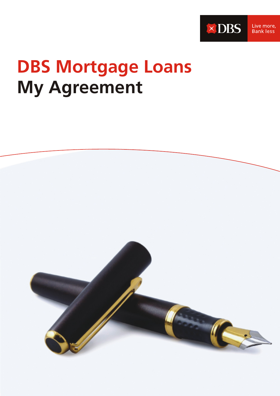

# **DBS Mortgage Loans My Agreement**

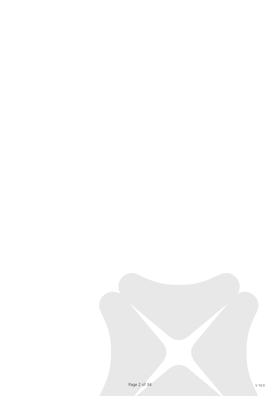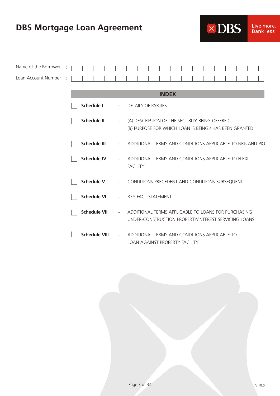# **DBS Mortgage Loan Agreement**

| Name of the Borrower  |                      |                                                                                                                                         |
|-----------------------|----------------------|-----------------------------------------------------------------------------------------------------------------------------------------|
| Loan Account Number : |                      |                                                                                                                                         |
|                       |                      | <b>INDEX</b>                                                                                                                            |
|                       | Schedule I           | <b>DETAILS OF PARTIES</b><br>$\overline{\phantom{0}}$                                                                                   |
|                       | <b>Schedule II</b>   | (A) DESCRIPTION OF THE SECURITY BEING OFFERED<br>$\overline{\phantom{a}}$<br>(B) PURPOSE FOR WHICH LOAN IS BEING / HAS BEEN GRANTED     |
|                       | <b>Schedule III</b>  | ADDITIONAL TERMS AND CONDITIONS APPLICABLE TO NRIS AND PIO                                                                              |
|                       | <b>Schedule IV</b>   | ADDITIONAL TERMS AND CONDITIONS APPLICABLE TO FLEXI<br><b>FACILITY</b>                                                                  |
|                       | <b>Schedule V</b>    | CONDITIONS PRECEDENT AND CONDITIONS SUBSEQUENT<br>$\blacksquare$                                                                        |
|                       | <b>Schedule VI</b>   | <b>KEY FACT STATEMENT</b>                                                                                                               |
|                       | <b>Schedule VII</b>  | ADDITIONAL TERMS APPLICABLE TO LOANS FOR PURCHASING<br>$\overline{\phantom{a}}$<br>UNDER-CONSTRUCTION PROPERTY/INTEREST SERVICING LOANS |
|                       | <b>Schedule VIII</b> | ADDITIONAL TERMS AND CONDITIONS APPLICABLE TO<br><b>LOAN AGAINST PROPERTY FACILITY</b>                                                  |

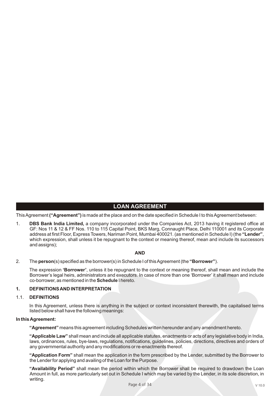# **LOAN AGREEMENT**

This Agreement **("Agreement")** is made at the place and on the date specified in Schedule I to this Agreement between:

1. **DBS Bank India Limited,** a company incorporated under the Companies Act, 2013 having it registered office at GF: Nos 11 & 12 & FF Nos. 110 to 115 Capital Point, BKS Marg, Connaught Place, Delhi 110001 and its Corporate address at first Floor, Express Towers, Nariman Point, Mumbai 400021. (as mentioned in Schedule I) (the **"Lender"**, which expression, shall unless it be repugnant to the context or meaning thereof, mean and include its successors and assigns);

#### **AND**

#### 2. The **person**(s) specified as the borrower(s) in Schedule I of this Agreement (the **"Borrower"**).

The expression **'Borrower'**, unless it be repugnant to the context or meaning thereof, shall mean and include the Borrower's legal heirs, administrators and executors. In case of more than one 'Borrower' it shall mean and include co-borrower, as mentioned in the **Schedule** I hereto.

#### **1. DEFINITIONS AND INTERPRETATION**

#### 1.1. **DEFINITIONS**

In this Agreement, unless there is anything in the subject or context inconsistent therewith, the capitalised terms listed below shall have the following meanings:

#### **In this Agreement:**

**"Agreement"** means this agreement including Schedules written hereunder and any amendment hereto.

**"Applicable Law"** shall mean and include all applicable statutes, enactments or acts of any legislative body in India, laws, ordinances, rules, bye-laws, regulations, notifications, guidelines, policies, directions, directives and orders of any governmental authority and any modifications or re-enactments thereof.

**"Application Form"** shall mean the application in the form prescribed by the Lender, submitted by the Borrower to the Lender for applying and availing of the Loan for the Purpose.

**"Availability Period"** shall mean the period within which the Borrower shall be required to drawdown the Loan Amount in full, as more particularly set out in Schedule I which may be varied by the Lender, in its sole discretion, in writing.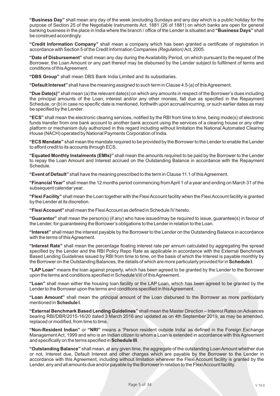**"Business Day"** shall mean any day of the week (excluding Sundays and any day which is a public holiday for the purpose of Section 25 of the Negotiable Instruments Act, 1881 (26 of 1881) on which banks are open for general banking business in the place in India where the branch / office of the Lender is situated and **"Business Days"** shall be construed accordingly.

**"Credit Information Company"** shall mean a company which has been granted a certificate of registration in accordance with Section 5 of the Credit Information Companies *(Regulation)* Act, 2005.

**"Date of Disbursement"** shall mean any day during the Availability Period, on which pursuant to the request of the Borrower, the Loan Amount or any part thereof may be disbursed by the Lender subject to fulfilment of terms and conditions of this Agreement.

**"DBS Group"** shall mean DBS Bank India Limited and its subsidiaries.

**"Default Interest"** shall have the meaning assigned to such term in Clause 4.5 (a) of this Agreement.

**"Due Date(s)"** shall mean (a) the relevant date(s) on which any amounts in respect of the Borrower's dues including the principal amounts of the Loan, interest and/or any other monies, fall due as specified in the Repayment Schedule, or (b) in case no specific date is mentioned, forthwith upon accrual/incurring, or such earlier dates as may be specified by the Lender.

**"ECS"** shall mean the electronic clearing services, notified by the RBI from time to time, being mode(s) of electronic funds transfer from one bank account to another bank account using the services of a clearing house or any other platform or mechanism duly authorized in this regard including without limitation the National Automated Clearing House (NACH) operated by National Payments Corporation of India.

**"ECS Mandate"** shall mean the mandate required to be provided by the Borrower to the Lender to enable the Lender to afford credit to its accounts through ECS.

**"Equated Monthly Instalments (EMIs)"** shall mean the amounts required to be paid by the Borrower to the Lender to repay the Loan Amount and Interest accrued on the Outstanding Balance in accordance with the Repayment Schedule.

**"Event of Default"** shall have the meaning prescribed to the term in Clause 11.1 of this Agreement.

**"Financial Year"** shall mean the 12 months period commencing from April 1 of a year and ending on March 31 of the subsequent calendar year.

**"Flexi Facility"** shall mean the Loan together with the Flexi Account facility when the Flexi Account facility is granted by the Lender at its discretion.

**"Flexi Account"** shall mean the Flexi Account as defined in Schedule IV hereto.

**"Guarantor"** shall mean the person(s) (if any) who have issued/may be required to issue, guarantee(s) in favour of the Lender, for guaranteeing the Borrower's obligations to the Lender in relation to the Loan.

**"Interest"** shall mean the interest payable by the Borrower to the Lender on the Outstanding Balance in accordance with the terms of this Agreement.

**"Interest Rate"** shall mean the percentage floating interest rate per annum calculated by aggregating the spread specified by the Lender and the RBI Policy Repo Rate as applicable in accordance with the External Benchmark Based Lending Guidelines issued by RBI from time to time, on the basis of which the Interest is payable monthly by the Borrower on the Outstanding Balances, the details of which are more particularly provided for in **Schedule I**.

**"LAP Loan"** means the loan against property, which has been agreed to be granted by the Lender to the Borrower upon the terms and conditions specified in Schedule VIII of this Agreement.

**"Loan"** shall mean either the housing loan facility or the LAP Loan, which has been agreed to be granted by the Lender to the Borrower upon the terms and conditions specified in this Agreement.

**"Loan Amount"** shall mean the principal amount of the Loan disbursed to the Borrower as more particularly mentioned in **Schedule I**.

**"External Benchmark Based Lending Guidelines"** shall mean the Master Direction – Interest Rates on Advances bearing RBI/DBR/2015-16/20 dated 3 March 2016 and updated as on 4th September 2019, as may be amended, replaced or modified, from time to time.

**"Non-Resident Indian"** or **"NRI"** means a 'Person resident outside India' as defined in the Foreign Exchange Management Act, 1999 and who is an Indian citizen to whom a Loan is extended in accordance with this Agreement and specifically on the terms specified in **Schedule III**.

**"Outstanding Balance"** shall mean, at any given time, the aggregate of the outstanding Loan Amount whether due or not, Interest due, Default Interest and other charges which are payable by the Borrower to the Lender in accordance with this Agreement, including without limitation wherever the Flexi Account facility is granted by the Lender, any and all amounts due and/or payable by the Borrower in relation to the Flexi Account facility.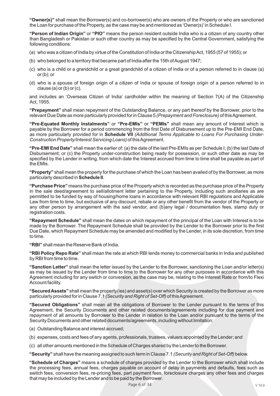**"Owner(s)"** shall mean the Borrower(s) and co-borrower(s) who are owners of the Property or who are sanctioned the Loan for purchase of the Property, as the case may be and mentioned as 'Owner(s)' in Schedule I.

**"Person of Indian Origin"** or **"PIO"** means the person resident outside India who is a citizen of any country other than Bangladesh or Pakistan or such other country as may be specified by the Central Government, satisfying the following conditions:

- (a) who was a citizen of India by virtue of the Constitution of India or the Citizenship Act, 1955 (57 of 1955); or
- (b) who belonged to a territory that became part of India after the 15th of August 1947;
- (c) who is a child or a grandchild or a great grandchild of a citizen of India or of a person referred to in clause (a) or (b); or
- (d) who is a spouse of foreign origin of a citizen of India or spouse of foreign origin of a person referred to in clause  $(a)$  or  $(b)$  or  $(c)$ .

and includes an 'Overseas Citizen of India' cardholder within the meaning of Section 7(A) of the Citizenship Act, 1955.

**"Prepayment"** shall mean repayment of the Outstanding Balance, or any part thereof by the Borrower, prior to the relevant Due Date as more particularly provided for in Clause 5 *(Prepayment and Foreclosure)*of this Agreement.

**"Pre-Equated Monthly Instalments"** or **"Pre-EMIs"** or **"PEMIs"** shall mean any amount of Interest which is payable by the Borrower for a period commencing from the first Date of Disbursement up to the Pre-EMI End Date, as more particularly provided for in **Schedule VII** *(Additional Terms Applicable to Loans For Purchasing Under-Construction Property/Interest Servicing Loans)*of this Agreement.

**"Pre-EMI End Date"** shall mean the earlier of: (a) the date of the last Pre-EMIs as per Schedule I; (b) the last Date of Disbursement; or (c) the Property under-construction being ready for possession, or such other date as may be specified by the Lender in writing, from which date the Interest accrued from time to time shall be payable as part of the EMIs.

**"Property"** shall mean the property for the purchase of which the Loan has been availed of by the Borrower, as more particularly described in **Schedule II**.

**"Purchase Price"** means the purchase price of the Property which is recorded as the purchase price of the Property in the sale deed/agreement to sell/allotment letter pertaining to the Property, including such ancillaries as are permitted to be funded by way of housing/home loans in accordance with relevant RBI regulations and Applicable Law from time to time, but exclusive of any discount, rebate or any other benefit from the vendor of the Property or any other person by arrangement with the said vendor, and (b)any legal / documentation fees, stamp duty or registration costs.

**"Repayment Schedule"** shall mean the dates on which repayment of the principal of the Loan with Interest is to be made by the Borrower. The Repayment Schedule shall be provided by the Lender to the Borrower prior to the first Due Date, which Repayment Schedule may be amended and modified by the Lender, in its sole discretion, from time to time.

**"RBI"** shall mean the Reserve Bank of India.

**"RBI Policy Repo Rate"** shall mean the rate at which RBI lends money to commercial banks in India and published by RBI from time to time.

**"Sanction Letter"** shall mean the letter issued by the Lender to the Borrower, sanctioning the Loan and/or letter(s) as may be issued by the Lender from time to time to the Borrower for any other purposes in accordance with this Agreement including for any switch or conversion, as the case may be, relating to the Interest Rate or from/to Flexi Account facility.

**"Secured Assets"** shall mean the property(ies) and asset(s) over which Security is created by the Borrower as more particularly provided for in Clause 7.1*(Security and Right of Set-Off)*of this Agreement.

**"Secured Obligations"** shall mean all the obligations of Borrower to the Lender pursuant to the terms of this Agreement, the Security Documents and other related documents/agreements including for due payment and repayment of all amounts by Borrower to the Lender in relation to the Loan and/or pursuant to the terms of the Security Documents and other related documents/agreements, including without limitation:

- (a) Outstanding Balance and interest accrued;
- (b) expenses, costs and fees of any agents, professionals, trustees, valuers appointed by the Lender; and

(c) all other amounts mentioned in the Schedule of Charges shared by the Lender to the Borrower.

**"Security"** shall have the meaning assigned to such term in Clause 7.1*(Security and Right of Set-Off)*below.

**"Schedule of Charges"** means a schedule of charges provided by the Lender to the Borrower which shall include the processing fees, annual fees, charges payable on account of delay in payments and defaults, fees such as switch fees, conversion fees, re-pricing fees, part payment fees, foreclosure charges any other fees and charges that may be included by the Lender and to be paid by the Borrower.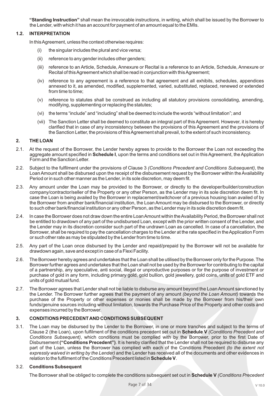**"Standing Instruction"** shall mean the irrevocable instructions, in writing, which shall be issued by the Borrower to the Lender, with which it has an account for payment of an amount equal to the EMIs.

#### **1.2. INTERPRETATION**

In this Agreement, unless the context otherwise requires:

- (i) the singular includes the plural and vice versa;
- (ii) reference to any gender includes other genders;
- (iii) reference to an Article, Schedule, Annexure or Recital is a reference to an Article, Schedule, Annexure or Recital of this Agreement which shall be read in conjunction with this Agreement;
- (iv) reference to any agreement is a reference to that agreement and all exhibits, schedules, appendices annexed to it, as amended, modified, supplemented, varied, substituted, replaced, renewed or extended from time to time;
- (v) reference to statutes shall be construed as including all statutory provisions consolidating, amending, modifying, supplementing or replacing the statutes;
- (vi) the terms "include" and "including" shall be deemed to include the words "without limitation"; and
- (vii) The Sanction Letter shall be deemed to constitute an integral part of this Agreement. However, it is hereby clarified that in case of any inconsistency between the provisions of this Agreement and the provisions of the Sanction Letter, the provisions of this Agreement shall prevail, to the extent of such inconsistency.

#### **2. THE LOAN**

- 2.1. At the request of the Borrower, the Lender hereby agrees to provide to the Borrower the Loan not exceeding the aggregate amount specified in **Schedule I**, upon the terms and conditions set out in this Agreement, the Application Form and the Sanction Letter.
- 2.2. Subject to the fulfilment under the provisions of Clause 3 *(Conditions Precedent and Conditions Subsequent)*, the Loan Amount shall be disbursed upon the receipt of the disbursement request by the Borrower within the Availability Period or in such other manner as the Lender, in its sole discretion, may deem fit.
- 2.3. Any amount under the Loan may be provided to the Borrower, or directly to the developer/builder/construction company/contractor/seller of the Property or any other Person, as the Lender may in its sole discretion deem fit. In case the Loan is being availed by the Borrower in replacement/switchover of a previous housing loan availed of by the Borrower from another bank/financial institution, the Loan Amount may be disbursed to the Borrower, or directly to such other bank/financial institution or any other Person, as the Lender may in its sole discretion deem fit.
- 2.4. In case the Borrower does not draw down the entire Loan Amount within the Availability Period, the Borrower shall not be entitled to drawdown of any part of the undisbursed Loan, except with the prior written consent of the Lender, and the Lender may in its discretion consider such part of the undrawn Loan as cancelled. In case of a cancellation, the Borrower, shall be required to pay the cancellation charges to the Lender at the rate specified in the Application Form or such other rate as may be stipulated by the Lender from time to time.
- 2.5. Any part of the Loan once disbursed by the Lender and repaid/prepaid by the Borrower will not be available for drawdown again, save and except in case of a Flexi Facility.
- 2.6. The Borrower hereby agrees and undertakes that the Loan shall be utilised by the Borrower only for the Purpose. The Borrower further agrees and undertakes that the Loan shall not be used by the Borrower for contributing to the capital of a partnership, any speculative, anti social, illegal or unproductive purposes or for the purpose of investment or purchase of gold in any form, including primary gold, gold bullion, gold jewellery, gold coins, units of gold ETF and units of gold mutual fund.
- 2.7. The Borrower agrees that Lender shall not be liable to disburse any amount beyond the Loan Amount sanctioned by the Lender. The Borrower further agrees that the payment of any amount *(beyond the Loan Amount)* towards the purchase of the Property or other expenses or monies shall be made by the Borrower from his/their own funds/genuine sources including without limitation, towards the Purchase Price of the Property and other costs and expenses incurred by the Borrower.

#### **3. CONDITIONS PRECEDENT AND CONDITIONS SUBSEQUENT**

3.1. The Loan may be disbursed by the Lender to the Borrower, in one or more tranches and subject to the terms of Clause 2 (the Loan), upon fulfilment of the conditions precedent set out in **Schedule V** *(Conditions Precedent and Conditions Subsequent)*, which conditions must be complied with by the Borrower, prior to the first Date of Disbursement **("Conditions Precedent")**. It is hereby clarified that the Lender shall not be required to disburse any part of the Loan, unless the Borrower has complied with each of the Conditions Precedent *(to the extent not expressly waived in writing by the Lender)* and the Lender has received all of the documents and other evidences in relation to the fulfilment of the Conditions Precedent listed in **Schedule V**.

#### 3.2. **Conditions Subsequent**

The Borrower shall be obliged to complete the conditions subsequent set out in **Schedule V** *(Conditions Precedent*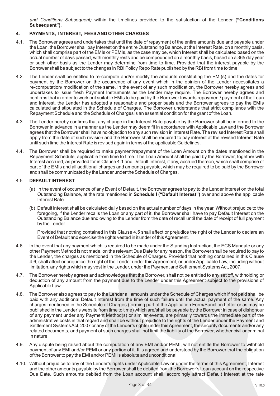*and Conditions Subsequent)* within the timelines provided to the satisfaction of the Lender **("Conditions Subsequent")**.

#### **4. PAYMENTS, INTEREST, FEES AND OTHER CHARGES**

- 4.1. The Borrower agrees and undertakes that until the date of repayment of the entire amounts due and payable under the Loan, the Borrower shall pay Interest on the entire Outstanding Balance, at the Interest Rate, on a monthly basis, which shall comprise part of the EMIs or PEMIs, as the case may be, which Interest shall be calculated based on the actual number of days passed, with monthly rests and be compounded on a monthly basis, based on a 365 day year or such other basis as the Lender may determine from time to time. Provided that the interest payable by the Borrower shall be subject to the changes in RBI Policy Repo Rate published by the RBI from time to time.
- 4.2. The Lender shall be entitled to re-compute and/or modify the amounts constituting the EMI(s) and the dates for payment by the Borrower on the occurrence of any event which in the opinion of the Lender necessitates a re-computation/ modification of the same. In the event of any such modification, the Borrower hereby agrees and undertakes to issue fresh Payment Instruments as the Lender may require. The Borrower hereby agrees and confirms that in order to work out suitable EMIs to be paid by the Borrower towards repayment/ payment of the Loan and interest, the Lender has adopted a reasonable and proper basis and the Borrower agrees to pay the EMIs calculated and stipulated in the Schedule of Charges. The Borrower understands that strict compliance with the Repayment Schedule and the Schedule of Charges is an essential condition for the grant of the Loan.
- 4.3. The Lender hereby confirms that any change in the Interest Rate payable by the Borrower shall be informed to the Borrower in advance in a manner as the Lender may deem fit in accordance with Applicable Law and the Borrower agrees that the Borrower shall have no objection to any such revision in Interest Rate. The revised Interest Rate shall apply from the date of such revision and the Borrower shall be required to pay interest at the revised Interest Rate until such time the Interest Rate is revised again in terms of the applicable Guidelines.
- 4.4. The Borrower shall be required to make payment/repayment of the Loan Amount on the dates mentioned in the Repayment Schedule, applicable from time to time. The Loan Amount shall be paid by the Borrower, together with Interest accrued, as provided for in Clause 4.1 and Default Interest, if any, accrued thereon, which shall comprise of part of the EMIs and all additional charges and amounts payable, which may be required to be paid by the Borrower and shall be communicated by the Lender under the Schedule of Charges.

#### 4.5. **DEFAULT INTEREST**

- (a) In the event of occurrence of any Event of Default, the Borrower agrees to pay to the Lender interest on the total Outstanding Balance, at the rate mentioned in **Schedule I ("Default Interest")** over and above the applicable Interest Rate.
- (b) Default interest shall be calculated daily based on the actual number of days in the year. Without prejudice to the foregoing, if the Lender recalls the Loan or any part of it, the Borrower shall have to pay Default Interest on the Outstanding Balance due and owing to the Lender from the date of recall until the date of receipt of full payment by the Lender.

Provided that nothing contained in this Clause 4.5 shall affect or prejudice the right of the Lender to declare an Event of Default and exercise the rights vested in it under of this Agreement.

- 4.6. In the event that any payment which is required to be made under the Standing Instruction, the ECS Mandate or any other Payment Method is not made, on the relevant Due Date for any reason, the Borrower shall be required to pay to the Lender, the charges as mentioned in the Schedule of Charges. Provided that nothing contained in this Clause 4.6, shall affect or prejudice the right of the Lender under this Agreement, or under Applicable Law, including without limitation, any rights which may vest in the Lender, under the Payment and Settlement Systems Act, 2007.
- 4.7. The Borrower hereby agrees and acknowledges that the Borrower, shall not be entitled to any set off, withholding or deduction of any amount from the payment due to the Lender under this Agreement subject to the provisions of Applicable Law.
- 4.8. The Borrower also agrees to pay to the Lender all amounts under the Schedule of Charges which if not paid shall be paid with any additional Default Interest from the time of such failure until the actual payment of the same. Any charges mentioned in the Schedule of Charges (forming part of the Application Form/Sanction Letter or as may be published in the Lender's website from time to time) which are/shall be payable by the Borrower in case of dishonour of any payment under any Payment Method(s) or similar events, are primarily towards the immediate part of the administrative costs in that regard and shall be without prejudice to the rights of the Lender under the Payment and Settlement Systems Act, 2007 or any of the Lender's rights under this Agreement, the security documents and/or any related documents, and payment of such charges shall not limit the liability of the Borrower, whether civil or criminal in nature.
- 4.9. Any dispute being raised about the computation of any EMI and/or PEMI, will not entitle the Borrower to withhold payment of any EMI and/or PEMI or any portion of it. It is agreed and understood by the Borrower that the obligation of the Borrower to pay the EMI and/or PEMI is absolute and unconditional.
- 4.10. Without prejudice to any of the Lender's rights under Applicable Law or under the terms of this Agreement, Interest and the other amounts payable by the Borrower shall be debited from the Borrower's Loan account on the respective Due Date. Such amounts debited from the Loan account shall, accordingly attract Default Interest at the rate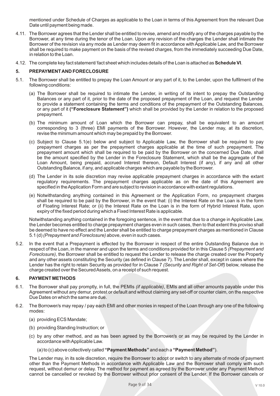mentioned under Schedule of Charges as applicable to the Loan in terms of this Agreement from the relevant Due Date until payment being made.

- 4.11. The Borrower agrees that the Lender shall be entitled to revise, amend and modify any of the charges payable by the Borrower, at any time during the tenor of the Loan. Upon any revision of the charges the Lender shall intimate the Borrower of the revision via any mode as Lender may deem fit in accordance with Applicable Law, and the Borrower shall be required to make payment on the basis of the revised charges, from the immediately succeeding Due Date, in relation to the Loan.
- 4.12. The complete key fact statement/ fact sheet which includes details of the Loan is attached as **Schedule VI**.

#### **5. PREPAYMENT AND FORECLOSURE**

- 5.1. The Borrower shall be entitled to prepay the Loan Amount or any part of it, to the Lender, upon the fulfilment of the following conditions:
	- (a) The Borrower shall be required to intimate the Lender, in writing of its intent to prepay the Outstanding Balances or any part of it, prior to the date of the proposed prepayment of the Loan, and request the Lender to provide a statement containing the terms and conditions of the prepayment of the Outstanding Balances, or any part of it **("Foreclosure Statement")** which shall be provided by the Lender in relation to the proposed prepayment.
	- (b) The minimum amount of Loan which the Borrower can prepay, shall be equivalent to an amount corresponding to 3 (three) EMI payments of the Borrower. However, the Lender may, at its discretion, revise the minimum amount which may be prepaid by the Borrower.
	- (c) Subject to Clause 5.1(e) below and subject to Applicable Law, the Borrower shall be required to pay prepayment charges as per the prepayment charges applicable at the time of such prepayment. The prepayment amount which shall be required to be paid by the Borrower on the concerned Due Date, shall be the amount specified by the Lender in the Foreclosure Statement, which shall be the aggregate of the Loan Amount, being prepaid, accrued Interest thereon, Default Interest (if any), if any and all other Outstanding Balance, if any, and applicable charges which are payable by the Borrower.
	- (d) The Lender in its sole discretion may revise applicable prepayment charges in accordance with the extant regulatory requirements. The prepayment charges applicable as on the date of this Agreement are specified in the Application Form and are subject to revision in accordance with extant regulations.
	- (e) Notwithstanding anything contained in this Agreement or the Application Form, no prepayment charges shall be required to be paid by the Borrower, in the event that: (i) the Interest Rate on the Loan is in the form of Floating Interest Rate; or (ii) the Interest Rate on the Loan is in the form of Hybrid Interest Rate, upon expiry of the fixed period during which a Fixed Interest Rate is applicable.

Notwithstanding anything contained in the foregoing sentence, in the event that due to a change in Applicable Law, the Lender becomes entitled to charge prepayment charges even in such cases, then to that extent this proviso shall be deemed to have no effect and the Lender shall be entitled to charge prepayment charges as mentioned in Clause 5.1 (d) *(Prepayment and Foreclosure)* above, even in such cases.

5.2. In the event that a Prepayment is effected by the Borrower in respect of the entire Outstanding Balance due in respect of the Loan, in the manner and upon the terms and conditions provided for in this Clause 5 *(Prepayment and Foreclosure)*, the Borrower shall be entitled to request the Lender to release the charge created over the Property and any other assets constituting the Security (as defined in Clause 7). The Lender shall, except in cases where the Lender has the right to retain Security as provided for in Clause 7 *(Security and Right of Set-Off)* below, release the charge created over the Secured Assets, on a receipt of such request.

#### **6. PAYMENT METHODS**

- 6.1. The Borrower shall pay promptly, in full, the PEMIs *(if applicable)*, EMIs and all other amounts payable under this Agreement without any demur, protest or default and without claiming any set-off or counter claim, on the respective Due Dates on which the same are due.
- 6.2. The Borrower/s may repay / pay each EMI and other monies in respect of the Loan through any one of the following modes:
	- (a) providing ECS Mandate;
	- (b) providing Standing Instruction; or
	- (c) by any other method, and as has been agreed by the Borrower/s or as may be required by the Lender in accordance with Applicable Law.
		- (a) to (c) above collectively called **"Payment Methods"** and each a**"Payment Method"**).

The Lender may, in its sole discretion, require the Borrower to adopt or switch to any alternate of mode of payment other than the Payment Methods in accordance with Applicable Law and the Borrower shall comply with such request, without demur or delay. The method for payment as agreed by the Borrower under any Payment Method cannot be cancelled or revoked by the Borrower without prior consent of the Lender. If the Borrower cancels or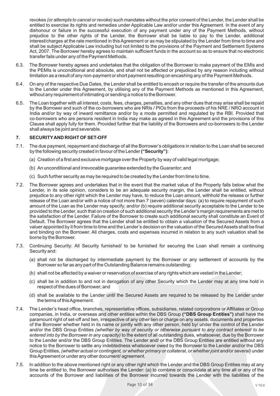revokes *(or attempts to cancel or revoke)* such mandates without the prior consent of the Lender, the Lender shall be entitled to exercise its rights and remedies under Applicable Law and/or under this Agreement. In the event of any dishonour or failure in the successful execution of any payment under any of the Payment Methods, without prejudice to the other rights of the Lender, the Borrower shall be liable to pay to the Lender, additional interest/charges at the rate mentioned in this Agreement or as may be stipulated by the Lender from time to time and shall be subject Applicable Law including but not limited to the provisions of the Payment and Settlement Systems Act, 2007. The Borrower hereby agrees to maintain sufficient funds in the account so as to ensure that no electronic transfer fails under any of the Payment Methods.

- 6.3. The Borrower hereby agrees and undertakes that the obligation of the Borrower to make payment of the EMIs and the PEMIs is unconditional and absolute, and shall not be affected or prejudiced by any reason including without limitation as a result of any non-payment or short payment resulting on encashing any of the Payment Methods.
- 6.4. On any of the respective Due Dates, the Lender shall be entitled to encash or require the transfer of the amounts due to the Lender under this Agreement, by utilising any of the Payment Methods as mentioned in this Agreement, without any requirement of intimating or sending a notice to the Borrower.
- 6.5. The Loan together with all interest, costs, fees, charges, penalties, and any other dues that may arise shall be repaid by the Borrower and such of the co-borrowers who are NRIs / PIOs from the proceeds of his NRE / NRO account in India and/or by way of inward remittance and/or by a mode permitted and regulated by the RBI. Provided that co-borrowers who are persons resident in India may make as agreed in this Agreement and the provisions of this Clause shall apply fully for them. Provided further that the liability of the Borrowers and co-borrowers to the Lender shall always be joint and severable.

#### **7. SECURITYAND RIGHT OF SET-OFF**

- 7.1. The due payment, repayment and discharge of all the Borrower's obligations in relation to the Loan shall be secured by the following security created in favour of the Lender **("Security")**:
	- (a) Creation of a first and exclusive mortgage over the Property by way of valid legal mortgage;
	- (b) An unconditional and irrevocable guarantee extended by the Guarantor; and
	- (c) Such further security as may be required to be created by the Lender from time to time.
- 7.2. The Borrower agrees and undertakes that in the event that the market value of the Property falls below what the Lender, in its sole opinion, considers to be an adequate security margin, the Lender shall be entitled, without prejudice to any other right which the Lender may have, to reduce the Loan amount, withhold the release or further release of the Loan and/or with a notice of not more than 7 (seven) calendar days: (a) to require repayment of such amount of the Loan as the Lender may specify; and/or (b) require additional security acceptable to the Lender to be provided to the Lender, such that on creation of such additional security the Lender's margin requirements are met to the satisfaction of the Lender. Failure of the Borrower to create such additional security shall constitute an Event of Default. The Borrower agrees that the Lender shall be entitled to obtain a valuation of the Secured Assets from a valuer appointed by it from time to time and the Lender's decision on the valuation of the Secured Assets shall be final and binding on the Borrower. All charges, costs and expenses incurred in relation to any such valuation shall be borne by the Borrower.
- 7.3. Continuing Security: All Security furnished/ to be furnished for securing the Loan shall remain a continuing Security and:
	- (a) shall not be discharged by intermediate payment by the Borrower or any settlement of accounts by the Borrower so far as any part of the Outstanding Balance remains outstanding;
	- (b) shall not be affected by a waiver or reservation of exercise of any rights which are vested in the Lender;
	- (c) shall be in addition to and not in derogation of any other Security which the Lender may at any time hold in respect of the dues of Borrower; and
	- (d) shall be available to the Lender until the Secured Assets are required to be released by the Lender under the terms of this Agreement.
- 7.4. The Lender's head office, branches, representative offices, subsidiaries, related corporations or Affiliates or Group companies, in India, or overseas and other entities within the DBS Group **("DBS Group Entities")** shall have the paramount right of set-off and lien, irrespective of any other lien or charge on any assets, documents and properties of the Borrower whether held in its name or jointly with any other person, held by/ under the control of the Lender and/or the DBS Group Entities *(whether by way of security or otherwise pursuant to any contract entered/ to be entered into by the Borrower in any capacity)* to the extent of all outstanding dues, whatsoever, due by the Borrower to the Lender and/or the DBS Group Entities. The Lender and/ or the DBS Group Entities are entitled without any notice to the Borrower to settle any indebtedness whatsoever owed by the Borrower to the Lender and/or the DBS Group Entities, *(whether actual or contingent, or whether primary or collateral, or whether joint and/or several)*under this Agreement or under any other document/ agreement.
- 7.5. In addition to the above mentioned right or any other right which the Lender and the DBS Group Entities may at any time be entitled to, the Borrower authorises the Lender: (a) to combine or consolidate at any time all or any of the accounts of the Borrower and liabilities of the Borrower incurred towards the Lender with the liabilities of the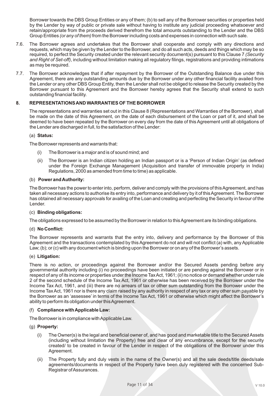Borrower towards the DBS Group Entities or any of them; (b) to sell any of the Borrower securities or properties held by the Lender by way of public or private sale without having to institute any judicial proceeding whatsoever and retain/appropriate from the proceeds derived therefrom the total amounts outstanding to the Lender and the DBS Group Entities *(or any of them)* from the Borrower including costs and expenses in connection with such sale.

- 7.6. The Borrower agrees and undertakes that the Borrower shall cooperate and comply with any directions and requests, which may be given by the Lender to the Borrower, and do all such acts, deeds and things which may be so required, to perfect the Security created under the relevant security document(s) pursuant to this Clause 7*(Security and Right of Set-off)*, including without limitation making all regulatory filings, registrations and providing intimations as may be required.
- 7.7. The Borrower acknowledges that if after repayment by the Borrower of the Outstanding Balance due under this Agreement, there are any outstanding amounts due by the Borrower under any other financial facility availed from the Lender or any other DBS Group Entity, then the Lender shall not be obliged to release the Security created by the Borrower pursuant to this Agreement and the Borrower hereby agrees that the Security shall extend to such outstanding financial facility.

#### **8. REPRESENTATIONS AND WARRANTIES OF THE BORROWER**

The representations and warranties set out in this Clause 8 (Representations and Warranties of the Borrower), shall be made on the date of this Agreement, on the date of each disbursement of the Loan or part of it, and shall be deemed to have been repeated by the Borrower on every day from the date of this Agreement until all obligations of the Lender are discharged in full, to the satisfaction of the Lender:

#### (a) **Status:**

The Borrower represents and warrants that:

- (i) The Borrower is a major and is of sound mind; and
- (ii) The Borrower is an Indian citizen holding an Indian passport or is a 'Person of Indian Origin' (as defined under the Foreign Exchange Management (Acquisition and transfer of immovable property in India) Regulations, 2000 as amended from time to time) as applicable.

#### (b) **Power and Authority:**

The Borrower has the power to enter into, perform, deliver and comply with the provisions of this Agreement, and has taken all necessary actions to authorise its entry into, performance and delivery by it of this Agreement. The Borrower has obtained all necessary approvals for availing of the Loan and creating and perfecting the Security in favour of the Lender.

#### (c) **Binding obligations:**

The obligations expressed to be assumed by the Borrower in relation to this Agreement are its binding obligations.

#### (d) **No Conflict:**

The Borrower represents and warrants that the entry into, delivery and performance by the Borrower of this Agreement and the transactions contemplated by this Agreement do not and will not conflict (a) with, any Applicable Law; (b); or (c) with any document which is binding upon the Borrower or on any of the Borrower's assets.

#### (e) **Litigation:**

There is no action, or proceedings against the Borrower and/or the Secured Assets pending before any governmental authority including (i) no proceedings have been initiated or are pending against the Borrower or in respect of any of its income or properties under the Income Tax Act, 1961; (ii) no notice or demand whether under rule 2 of the second schedule of the Income Tax Act, 1961 or otherwise has been received by the Borrower under the Income Tax Act, 1961, and (iii) there are no arrears of tax or other sum outstanding from the Borrower under the Income Tax Act, 1961 nor is there any claim raised by any authority in respect of any tax or any other sum payable by the Borrower as an 'assessee' in terms of the Income Tax Act, 1961 or otherwise which might affect the Borrower's ability to perform its obligation under this Agreement.

#### (f) **Compliance with Applicable Law:**

The Borrower is in compliance with Applicable Law.

#### (g) **Property:**

- (i) The Owner(s) is the legal and beneficial owner of, and has good and marketable title to the Secured Assets (including without limitation the Property) free and clear of any encumbrance, except for the security created/ to be created in favour of the Lender in respect of the obligations of the Borrower under this Agreement.
- (ii) The Property fully and duly vests in the name of the Owner(s) and all the sale deeds/title deeds/sale agreements/documents in respect of the Property have been duly registered with the concerned Sub-Registrar of Assurances.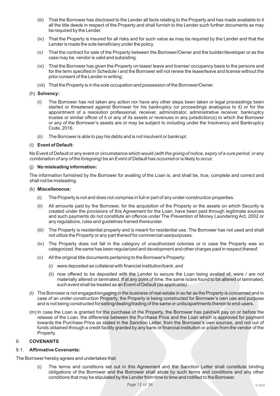- **DBS Mortgage Loan Agreement** (iii) That the Borrower has disclosed to the Lender all facts relating to the Property and has made available to it all the title deeds in respect of the Property and shall furnish to the Lender such further documents as may be required by the Lender.
	- (iv) That the Property is insured for all risks and for such value as may be required by the Lender and that the Lender is made the sole beneficiary under the policy.
	- (v) That the contract for sale of the Property between the Borrower/Owner and the builder/developer or as the case may be, vendor is valid and subsisting.
	- (vi) That the Borrower has given the Property on lease/ leave and license/ occupancy basis to the persons and for the term specified in Schedule I and the Borrower will not renew the lease/leave and license without the prior consent of the Lender in writing;
	- (vii) That the Property is in the sole occupation and possession of the Borrower/Owner.

#### (h) **Solvency:**

- (i) The Borrower has not taken any action nor have any other steps been taken or legal proceedings been started or threatened against Borrower for his bankruptcy (or proceedings analogous to it) or for the appointment of a resolution professional, receiver, administrator, administrative receiver, bankruptcy trustee or similar officer of it or any of its assets or revenues in any jurisdiction(s) to which the Borrower or any of the Borrower's assets are or may be subject to including under the Insolvency and Bankruptcy Code, 2016.
- (ii) The Borrower is able to pay his debts and is not insolvent or bankrupt.

#### (i) **Event of Default:**

No Event of Default or any event or circumstance which would*(with the giving of notice, expiry of a cure period, or any combination of any of the foregoing)*be an Event of Default has occurred or is likely to occur.

#### (j) **No misleading information:**

The information furnished by the Borrower for availing of the Loan is, and shall be, true, complete and correct and shall not be misleading.

#### (k) **Miscellaneous:**

- (i) The Property is not and does not comprise in full or part of any under-construction properties.
- (ii) All amounts paid by the Borrower, for the acquisition of the Property or the assets on which Security is created under the provisions of this Agreement for the Loan, have been paid through legitimate sources and such payments do not constitute an offence under The Prevention of Money Laundering Act, 2002 or any regulations, rules and guidelines framed thereunder.
- (iii) The Property is residential property and is meant for residential use. The Borrower has not used and shall not utilize the Property or any part thereof for commercial use/purposes.
- (iv) The Property does not fall in the category of unauthorized colonies or in case the Property was so categorized, the same has been regularized and development and other charges paid in respect thereof.
- (v) All the original title documents pertaining to the Borrower's Property:
	- (i) were deposited as collateral with financial institution/bank; and
	- (ii) now offered to be deposited with the Lender to secure the Loan being availed of, were / are not materially altered or laminated. If at any point of time, the same is/are found to be altered or laminated, such event shall be treated as an Event of Default *(as applicable)*.
- (l) The Borrower is not engaged/engaging in the business of real estate in so far as the Property is concerned and in case of an under-construction Property, the Property is being constructed for Borrower's own use and purpose and is not being constructed for selling/dealing/trading of the same or units/apartments therein to end-users.
- (m) In case the Loan is granted for the purchase of the Property, the Borrower has paid/will pay on or before the release of the Loan, the difference between the Purchase Price and the Loan which is approved for payment towards the Purchase Price as stated in the Sanction Letter, from the Borrower's own sources, and not out of funds obtained through a credit facility granted by any bank or financial institution or a loan from the vendor of the Property.

#### 9. **COVENANTS**

#### 9.1. **Affirmative Covenants:**

The Borrower hereby agrees and undertakes that:

(i) The terms and conditions set out in this Agreement and the Sanction Letter shall constitute binding obligations of the Borrower and the Borrower shall abide by such terms and conditions and any other conditions that may be stipulated by the Lender from time to time and notified to the Borrower.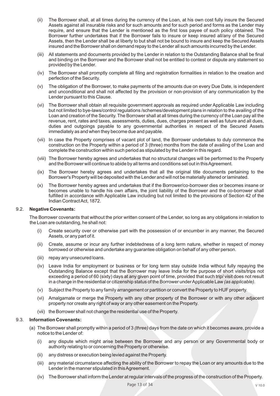- (ii) The Borrower shall, at all times during the currency of the Loan, at his own cost fully insure the Secured Assets against all insurable risks and for such amounts and for such period and forms as the Lender may require, and ensure that the Lender is mentioned as the first loss payee of such policy obtained. The Borrower further undertakes that if the Borrower fails to insure or keep insured all/any of the Secured Assets, then the Lender shall be at liberty to but shall not be bound to insure and keep the Secured Assets insured and the Borrower shall on demand repay to the Lender all such amounts incurred by the Lender.
- (iii) All statements and documents provided by the Lender in relation to the Outstanding Balance shall be final and binding on the Borrower and the Borrower shall not be entitled to contest or dispute any statement so provided by the Lender.
- (iv) The Borrower shall promptly complete all filing and registration formalities in relation to the creation and perfection of the Security.
- (v) The obligation of the Borrower, to make payments of the amounts due on every Due Date, is independent and unconditional and shall not affected by the provision or non-provision of any communication by the Lender pursuant to this Clause.
- (vi) The Borrower shall obtain all requisite government approvals as required under Applicable Law including but not limited to bye-laws/control regulations /schemes/development plans in relation to the availing of the Loan and creation of the Security. The Borrower shall at all times during the currency of the Loan pay all the revenue, rent, rates and taxes, assessments, duties, dues, charges present as well as future and all dues, duties and outgoings payable to any governmental authorities in respect of the Secured Assets immediately as and when they become due and payable.
- (vii) In case the Property comprises of vacant plot of land, the Borrower undertakes to duly commence the construction on the Property within a period of 3 (three) months from the date of availing of the Loan and complete the construction within such period as stipulated by the Lender in this regard.
- (viii) The Borrower hereby agrees and undertakes that no structural changes will be performed to the Property and the Borrower will continue to abide by all terms and conditions set out in this Agreement.
- (ix) The Borrower hereby agrees and undertakes that all the original title documents pertaining to the Borrower's Property will be deposited with the Lender and will not be materially altered or laminated.
- (x) The Borrower hereby agrees and undertakes that if the Borrower/co-borrower dies or becomes insane or becomes unable to handle his own affairs, the joint liability of the Borrower and the co-borrower shall fulfilled in accordance with Applicable Law including but not limited to the provisions of Section 42 of the Indian Contract Act, 1872.

#### 9.2. **Negative Covenants:**

The Borrower covenants that without the prior written consent of the Lender, so long as any obligations in relation to the Loan are outstanding, he shall not:

- (i) Create security over or otherwise part with the possession of or encumber in any manner, the Secured Assets, or any part of it.
- (ii) Create, assume or incur any further indebtedness of a long term nature, whether in respect of money borrowed or otherwise and undertake any guarantee obligation on behalf of any other person.
- (iii) repay any unsecured loans.
- (iv) Leave India for employment or business or for long term stay outside India without fully repaying the Outstanding Balance except that the Borrower may leave India for the purpose of short visits/trips not exceeding a period of 60 (sixty) days at any given point of time, provided that such trip/ visit does not result in a change in the residential or citizenship status of the Borrower under Applicable Law *(as applicable)*.
- (v) Subject the Property to any family arrangement or partition or convert the Property to HUF property.
- (vi) Amalgamate or merge the Property with any other property of the Borrower or with any other adjacent property nor create any right of way or any other easement on the Property.
- (vii) the Borrower shall not change the residential use of the Property.

#### 9.3. **Information Covenants:**

- (a) The Borrower shall promptly within a period of 3*(three)*days from the date on which it becomes aware, provide a notice to the Lender of:
	- (i) any dispute which might arise between the Borrower and any person or any Governmental body or authority relating to or concerning the Property or otherwise.
	- (ii) any distress or execution being levied against the Property.
	- (iii) any material circumstance affecting the ability of the Borrower to repay the Loan or any amounts due to the Lender in the manner stipulated in this Agreement.
	- (iv) The Borrower shall inform the Lender at regular intervals of the progress of the construction of the Property.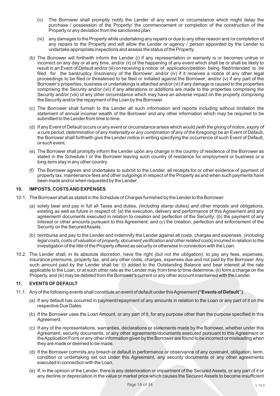- (v) The Borrower shall promptly notify the Lender of any event or circumstance which might delay the purchase / possession of the Property/ the commencement or completion of the construction of the Property or any deviation from the sanctioned plan.
- (vi) any damages to the Property while undertaking any repairs or due to any other reason and /or completion of any repairs to the Property and will allow the Lender or agency / person appointed by the Lender to undertake appropriate inspections and assess the status of the Property.
- (b) The Borrower will forthwith inform the Lender (i) if any representation or warranty is or becomes untrue or incorrect on any day or at any time, and/or (ii) of the happening of any event which shall be or shall be likely to result in an Event of Default and/or (iii) on receiving a notice of application/petition being filed/intended to be filed for the bankruptcy /insolvency of the Borrower; and/or (iv) if it receives a notice of any other legal proceedings to be filed or threatened to be filed or initiated against the Borrower; and/or (v) if any part of the Borrower's properties, business or undertakings is attached and/or (vi) if any damage is caused to the properties comprising the Security and/or (vii) if any alterations or additions are made to the properties comprising the Security and/or (viii) of any other circumstance which may have an adverse impact on the property comprising the Security and/or the repayment of the Loan by the Borrower.
- (c) The Borrower shall furnish to the Lender all such information and reports including without limitation the statement of annual income/ wealth of the Borrower and any other information which may be required to be submitted to the Lender from time to time.
- (d) If any Event of Default occurs or any event or circumstance arises which would *(with the giving of notice, expiry of a cure period, determination of any materiality or any combination of any of the foregoing)*be an Event of Default, the Borrower shall forthwith give the Lender notice in writing specifying the occurrence of such Event of Default, or such event.
- (e) The Borrower shall promptly inform the Lender upon any change in the country of residence of the Borrower as stated in the Schedule I or the Borrower leaving such country of residence for employment or business or a long-term stay in any other country.
- (f) The Borrower agrees and undertakes to submit to the Lender, all receipts for or other evidence of payment of property tax, maintenance fees and other outgoings in respect of the Property as and when such payments have been made and/or when requested by the Lender.

#### **10. IMPOSTS, COSTS AND EXPENSES**

- 10.1. The Borrower shall as stated in the Schedule of Charges furnished by the Lender to the Borrower:
	- (a) solely bear and pay in full all Taxes and duties, *(including stamp duties)* and other imposts and obligations, existing as well as future in respect of: (a) the execution, delivery and performance of this Agreement and any agreement/ documents executed in relation to creation and perfection of the Security; (b) the payment of any Interest or other amounts pursuant to this Agreement; and (c) the creation, perfection and enforcement of the Security on the Secured Assets.
	- (b) reimburse and pay to the Lender and indemnify the Lender against all costs, charges and expenses, *(including legal costs, costs of valuation of property, document verification and other related costs)* incurred in relation to the investigation of the title of the Property offered as security or otherwise in connection with the Loan.
- 10.2. The Lender shall, in its absolute discretion, have the right *(but not the obligation)*, to pay any fees, expenses, insurance premiums, property tax, and any other costs, charges, expenses due and not paid by the Borrower. Any such amount paid by the Lender shall be: (i) added to the Outstanding Balance and bear interest at the rate applicable to the Loan, or at such other rate as the Lender may from time to time determine, (ii) form a charge on the Property, and (iii) may be debited from the Borrower's current or any other account maintained with the Lender.

#### **11. EVENTS OF DEFAULT**

- 11.1. Any of the following events shall constitute an event of default under this Agreement **("Events of Default")**:
	- (a) If any default has occurred in payment/repayment of any amounts in relation to the Loan or any part of it on the respective Due Dates.
	- (b) If the Borrower uses the Loan Amount, or any part of it, for any purpose other than the purpose specified in this Agreement.
	- (c) If any of the representations, warranties, declarations or statements made by the Borrower, whether under this Agreement, security documents, or any other agreements/documents executed pursuant to this Agreement or the Application Form or any other information given by the Borrower are found to be incorrect or misleading when they are made or deemed to be made.
	- (d) If the Borrower commits any breach or default in performance or observance of any covenant, obligation, term, condition or undertaking set out under this Agreement, any security documents or any other agreements executed in connection with the Loan.
	- (e) If, in the opinion of the Lender, there is any deterioration or impairment of the Secured Assets, or any part of it or any decline or depreciation in the value or market price which causes the Secured Assets to become insufficient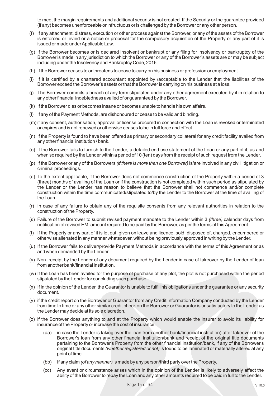to meet the margin requirements and additional security is not created. If the Security or the guarantee provided (if any) becomes unenforceable or infructuous or is challenged by the Borrower or any other person.

- (f) If any attachment, distress, execution or other process against the Borrower, or any of the assets of the Borrower is enforced or levied or a notice or proposal for the compulsory acquisition of the Property or any part of it is issued or made under Applicable Law.
- (g) If the Borrower becomes or is declared insolvent or bankrupt or any filing for insolvency or bankruptcy of the Borrower is made in any jurisdiction to which the Borrower or any of the Borrower's assets are or may be subject including under the Insolvency and Bankruptcy Code, 2016.
- (h) If the Borrower ceases to or threatens to cease to carry on his business or profession or employment.
- (i) If it is certified by a chartered accountant appointed by /acceptable to the Lender that the liabilities of the Borrower exceed the Borrower's assets or that the Borrower is carrying on his business at a loss.
- (j) The Borrower commits a breach of any term stipulated under any other agreement executed by it in relation to any other financial indebtedness availed of or guaranteed by the Borrower.
- (k) If the Borrower dies or becomes insane or becomes unable to handle his own affairs.
- (l) If any of the Payment Methods, are dishonoured or cease to be valid and binding.
- (m) if any consent, authorisation, approval or license procured in connection with the Loan is revoked or terminated or expires and is not renewed or otherwise ceases to be in full force and effect.
- (n) If the Property is found to have been offered as primary or secondary collateral for any credit facility availed from any other financial institution / bank.
- (o) If the Borrower fails to furnish to the Lender, a detailed end use statement of the Loan or any part of it, as and when so required by the Lender within a period of 10 (ten) days from the receipt of such request from the Lender.
- (p) If the Borrower or any of the Borrowers *(if there is more than one Borrower)* is/are involved in any civil litigation or criminal proceedings.
- (q) To the extent applicable, if the Borrower does not commence construction of the Property within a period of 3 (three) months of availing of the Loan or if the construction is not completed within such period as stipulated by the Lender or the Lender has reason to believe that the Borrower shall not commence and/or complete construction within the time communicated/stipulated to/by the Lender to the Borrower at the time of availing of the Loan.
- (r) In case of any failure to obtain any of the requisite consents from any relevant authorities in relation to the construction of the Property.
- (s) Failure of the Borrower to submit revised payment mandate to the Lender within 3 *(three)* calendar days from notification of revised EMI amount required to be paid by the Borrower, as per the terms of this Agreement.
- (t) If the Property or any part of it is let out, given on leave and licence, sold, disposed of, charged, encumbered or otherwise alienated in any manner whatsoever, without being previously approved in writing by the Lender.
- (u) If the Borrower fails to deliver/provide Payment Methods in accordance with the terms of this Agreement or as and when demanded by the Lender.
- (v) Non–receipt by the Lender of any document required by the Lender in case of takeover by the Lender of loan from another bank/financial institution.
- (w) If the Loan has been availed for the purpose of purchase of any plot, the plot is not purchased within the period stipulated by the Lender for concluding such purchase.
- (x) If in the opinion of the Lender, the Guarantor is unable to fulfill his obligations under the guarantee or any security document.
- (y) if the credit report on the Borrower or Guarantor from any Credit Information Company conducted by the Lender from time to time or any other similar credit check on the Borrower or Guarantor is unsatisfactory to the Lender as the Lender may decide at its sole discretion.
- (z) if the Borrower does anything to and at the Property which would enable the insurer to avoid its liability for insurance of the Property or increase the cost of insurance.
	- (aa) in case the Lender is taking over the loan from another bank/financial institution) after takeover of the Borrower's loan from any other financial institution/bank and receipt of the original title documents pertaining to the Borrower's Property from the other financial institution/bank, if any of the Borrower's original title documents *(whether registered or not)* is found to be laminated or materially altered at any point of time.
	- (bb) If any claim *(of any manner)* is made by any person/third party over the Property.
	- (cc) Any event or circumstance arises which in the opinion of the Lender is likely to adversely affect the ability of the Borrower to repay the Loan and any other amounts required to be paid in full to the Lender.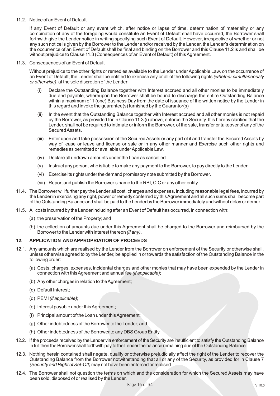#### 11.2. Notice of an Event of Default

If any Event of Default or any event which, after notice or lapse of time, determination of materiality or any combination of any of the foregoing would constitute an Event of Default shall have occurred, the Borrower shall forthwith give the Lender notice in writing specifying such Event of Default. However, irrespective of whether or not any such notice is given by the Borrower to the Lender and/or received by the Lender, the Lender's determination on the occurrence of an Event of Default shall be final and binding on the Borrower and this Clause 11.2 is and shall be without prejudice to Clause 11.3 (Consequences of an Event of Default) of this Agreement.

#### 11.3. Consequences of an Event of Default

Without prejudice to the other rights or remedies available to the Lender under Applicable Law, on the occurrence of an Event of Default, the Lender shall be entitled to exercise any or all of the following rights *(whether simultaneously or otherwise)*, at the sole discretion of the Lender:

- (i) Declare the Outstanding Balance together with Interest accrued and all other monies to be immediately due and payable, whereupon the Borrower shall be bound to discharge the entire Outstanding Balance within a maximum of 1 (one) Business Day from the date of issuance of the written notice by the Lender in this regard and invoke the guarantee(s) furnished by the Guarantor(s)
- (ii) In the event that the Outstanding Balance together with Interest accrued and all other monies is not repaid by the Borrower, as provided for in Clause 11.3 (i) above, enforce the Security. It is hereby clarified that the Lender, shall not be required to intimate or inform the Borrower, of the sale, transfer or takeover of any of the Secured Assets.
- (iii) Enter upon and take possession of the Secured Assets or any part of it and transfer the Secured Assets by way of lease or leave and license or sale or in any other manner and Exercise such other rights and remedies as permitted or available under Applicable Law.
- (iv) Declare all undrawn amounts under the Loan as cancelled.
- (v) Instruct any person, who is liable to make any payment to the Borrower, to pay directly to the Lender.
- (vi) Exercise its rights under the demand promissory note submitted by the Borrower.
- (vii) Report and publish the Borrower's name to the RBI, CIC or any other entity.
- 11.4. The Borrower will further pay the Lender all cost, charges and expenses, including reasonable legal fees, incurred by the Lender in exercising any right, power or remedy conferred by this Agreement and all such sums shall become part of the Outstanding Balance and shall be paid to the Lender by the Borrower immediately and without delay or demur.
- 11.5. All costs incurred by the Lender including after an Event of Default has occurred, in connection with:
	- (a) the preservation of the Property; and
	- (b) the collection of amounts due under this Agreement shall be charged to the Borrower and reimbursed by the Borrower to the Lender with interest thereon *(if any)*.

#### **12. APPLICATION AND APPROPRIATION OF PROCEEDS**

- 12.1. Any amounts which are realised by the Lender from the Borrower on enforcement of the Security or otherwise shall, unless otherwise agreed to by the Lender, be applied in or towards the satisfaction of the Outstanding Balance in the following order:
	- (a) Costs, charges, expenses, incidental charges and other monies that may have been expended by the Lender in connection with this Agreement and annual fee *(if applicable)*;
	- (b) Any other charges in relation to the Agreement;
	- (c) Default Interest;
	- (d) PEMI *(if applicable)*;
	- (e) Interest payable under this Agreement;
	- (f) Principal amount of the Loan under this Agreement;
	- (g) Other indebtedness of the Borrower to the Lender; and
	- (h) Other indebtedness of the Borrower to any DBS Group Entity.
- 12.2. If the proceeds received by the Lender via enforcement of the Security are insufficient to satisfy the Outstanding Balance in full then the Borrower shall forthwith pay to the Lender the balance remaining due of the Outstanding Balance.
- 12.3. Nothing herein contained shall negate, qualify or otherwise prejudicially affect the right of the Lender to recover the Outstanding Balance from the Borrower notwithstanding that all or any of the Security, as provided for in Clause 7 *(Security and Right of Set-Off)* may not have been enforced or realised.
- 12.4. The Borrower shall not question the terms on which and the consideration for which the Secured Assets may have been sold, disposed of or realised by the Lender.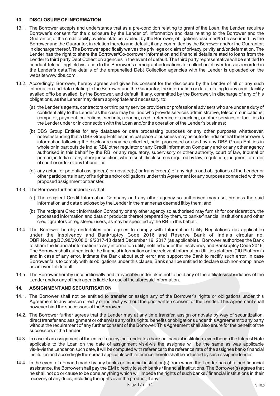#### **13. DISCLOSURE OF INFORMATION**

- 13.1. The Borrower accepts and understands that as a pre-condition relating to grant of the Loan, the Lender, requires Borrower's consent for the disclosure by the Lender of, information and data relating to the Borrower and the Guarantor, of the credit facility availed of/to be availed, by the Borrower, obligations assumed/to be assumed, by the Borrower and the Guarantor, in relation thereto and default, if any, committed by the Borrower and/or the Guarantor, in discharge thereof. The Borrower specifically waives the privilege or claim of privacy, privity and/or defamation. The Lender has the right to share the Borrower/Co-borrower information and financial details related to loans from the Lender to third party Debt Collection agencies in the event of default. The third party representative will be entitled to conduct Telecalling/field visitation to the Borrower's demographic locations for collection of overdues as recorded in the Lender's data.The details of the empanelled Debt Collection agencies with the Lender is uploaded on the website www.dbs.com.
- 13.2. Accordingly, Borrower, hereby agrees and gives his consent for the disclosure by the Lender of all or any such information and data relating to the Borrower and the Guarantor, the information or data relating to any credit facility availed of/to be availed, by the Borrower, and default, if any, committed by the Borrower, in discharge of any of his obligations, as the Lender may deem appropriate and necessary, to:
	- (a) the Lender's agents, contractors or third party service providers or professional advisers who are under a duty of confidentiality to the Lender as the case may be, and who provide services administrative, telecommunications, computer, payment, collections, security, clearing, credit reference or checking, or other services or facilities to the Lender under or in connection with the Loan and/or the operation of the Lender's business;
	- (b) DBS Group Entities for any database or data processing purposes or any other purposes whatsoever, notwithstanding that a DBS Group Entities principal place of business may be outside India or that the Borrower's information following the disclosure may be collected, held, processed or used by any DBS Group Entities in whole or in part outside India; RBI/ other regulator or any Credit Information Company and/ or any other agency authorised in this behalf by the RBI or any regulatory, supervisory or other authority, court of law, tribunal or person, in India or any other jurisdiction, where such disclosure is required by law, regulation, judgment or order of court or order of any tribunal; or
	- (c ) any actual or potential assignee(s) or novatee(s) or transferee(s) of any rights and obligations of the Lender or other participants in any of its rights and/or obligations under this Agreement for any purposes connected with the proposed assignment or transfer.
- 13.3. The Borrower further undertakes that:
	- (a) The recipient Credit Information Company and any other agency so authorised may use, process the said information and data disclosed by the Lender in the manner as deemed fit by them; and
	- (b) The recipient Credit Information Company or any other agency so authorised may furnish for consideration, the processed information and data or products thereof prepared by them, to banks/financial institutions and other credit grantors or registered users, as may be specified by the RBI in this behalf.
- 13.4 The Borrower hereby undertakes and agrees to comply with Information Utility Regulations (as applicable) under the Insolvency and Bankruptcy Code 2016 and Reserve Bank of India's circular no. DBR.No.Leg.BC.98/09.08.019/2017-18 dated December 19, 2017 (as applicable). Borrower authorizes the Bank to share the financial information to any information utility notified under the Insolvency and Bankruptcy Code 2016. The Borrower shall authenticate the financial information on the relevant Information Utilities platform ("IU Platform") and in case of any error, intimate the Bank about such error and support the Bank to rectify such error. In case Borrower fails to comply with its obligations under this clause, Bank shall be entitled to declare such non-compliance as an event of default.
- 13.5. The Borrower hereby unconditionally and irrevocably undertakes not to hold any of the affiliates/subsidiaries of the Lender and/or any of their agents liable for use of the aforesaid information.

#### **14. ASSIGNMENT AND SECURITISATION**

- 14.1. The Borrower shall not be entitled to transfer or assign any of the Borrower's rights or obligations under this Agreement to any person directly or indirectly without the prior written consent of the Lender. This Agreement shall however bind the successors of the Borrower.
- 14.2. The Borrower further agrees that the Lender may at any time transfer, assign or novate by way of securitization, direct transfer and assignment or otherwise any of its rights, benefits or obligations under this Agreement to any party without the requirement of any further consent of the Borrower. This Agreement shall also enure for the benefit of the successors of the Lender.
- 14.3. In case of an assignment of the entire Loan by the Lender to a bank or financial institution, even though the Interest Rate applicable to the Loan on the date of assignment vis-à-vis the assignee will be the same as was applicable vis-à-vis the Lender on such date, it will be computed with reference to the reference rate of the assignee bank/ financial institution and accordingly the spread applicable with reference thereto shall be adjusted by such assignee lender.
- 14.4. In the event of demand made by any banks or financial institution(s) from whom the Lender has obtained financial assistance, the Borrower shall pay the EMI directly to such banks / financial institutions. The Borrower(s) agrees that he shall not do or cause to be done anything which will impede the rights of such banks / financial institutions in their recovery of any dues, including the rights over the product, if any.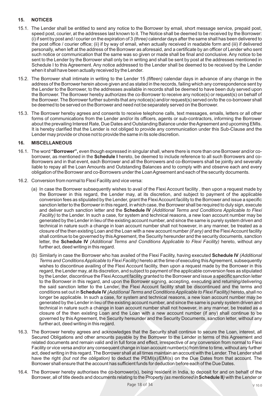#### **15. NOTICES**

- 15.1. The Lender shall be entitled to send any notice to the Borrower by email, short message service, prepaid post, speed post, courier, at the addresses last known to it. The Notice shall be deemed to be received by the Borrower: (i) if sent by post and / courier on the expiration of 3 *(three)* calendar days after the same shall has been delivered to the post office / courier office; (ii) if by way of email, when actually received in readable form and (iii) if delivered personally, when left at the address of the Borrower as aforesaid, and a certificate by an officer of Lender who sent such notice or communication that the same was so given or made shall be final and conclusive. Any notice to be sent to the Lender by the Borrower shall only be in writing and shall be sent by post at the addresses mentioned in Schedule I to this Agreement. Any notice addressed to the Lender shall be deemed to be received by the Lender when it shall have been actually received by the Lender.
- 15.2. The Borrower shall intimate in writing to the Lender 15 *(fifteen)* calendar days in advance of any change in the address of the Borrower herein above given and as stated in the records, failing which any correspondence sent by the Lender to the Borrower, to the addresses available in records shall be deemed to have been duly served upon the Borrower. The Borrower hereby authorizes the co-Borrower to receive any notice(s) or request(s) on behalf of the Borrower. The Borrower further submits that any notice(s) and/or request(s) served on/to the co-borrower shall be deemed to be served on the Borrower and need not be separately served on the Borrower.
- 15.3. The Borrower hereby agrees and consents to receive telephone calls, text messages, emails, letters or all other forms of communications from the Lender and/or its officers, agents or sub-contractors, informing the Borrower about the prevailing Interest Rate, Due Dates and Outstanding Balance under the Agreement and upcoming EMIs. It is hereby clarified that the Lender is not obliged to provide any communication under this Sub-Clause and the Lender may provide or chose not to provide the same in its sole discretion.

#### **16. MISCELLANEOUS**

- 16.1. The word**"Borrower",**even though expressed in singular shall, where there is more than one Borrower and/or coborrower, as mentioned in the **Schedule I** hereto, be deemed to include reference to all such Borrowers and co-Borrowers and in that event, each Borrower and all the Borrowers and co-Borrowers shall be jointly and severally liable to repay all the Loan Amounts and Outstanding Balances and to comply with and observe each and every obligation of the Borrower and co-Borrowers under the Loan Agreement and each of the security documents.
- 16.2. Conversion from normal to Flexi Facility and vice versa:
	- (a) In case the Borrower subsequently wishes to avail of the Flexi Account facility , then upon a request made by the Borrower in this regard, the Lender may, at its discretion, and subject to payment of the applicable conversion fees as stipulated by the Lender, grant the Flexi Account facility to the Borrower and issue a specific sanction letter to the Borrower in this regard, in which case, the Borrower shall be required to duly sign, execute and deliver such sanction letter and the **Schedule IV** *(Additional Terms and Conditions Applicable to Flexi Facility)* to the Lender. In such a case, for system and technical reasons, a new loan account number may be generated by the Lender in lieu of the existing account number, and since the same is purely system driven and technical in nature such a change in loan account number shall not however, in any manner, be treated as a closure of the then existing Loan and the Loan with a new account number *(if any)* and the Flexi Account facility shall continue to be governed by this Agreement, the Security hereunder and the security documents, sanction letter, the **Schedule IV** *(Additional Terms and Conditions Applicable to Flexi Facility)* hereto, without any further act, deed writing in this regard.
	- (b) Similarly in case the Borrower who has availed of the Flexi Facility, having executed **Schedule IV** *(Additional Terms and Conditions Applicable to Flexi Facility)*hereto at the time of executing this Agreement, subsequently wishes to discontinue availing of the Flexi Account facility, then upon a request made by the Borrower in this regard, the Lender may, at its discretion, and subject to payment of the applicable conversion fees as stipulated by the Lender, discontinue the Flexi Account facility granted to the Borrower and issue a specific sanction letter to the Borrower in this regard, and upon the Borrower signing, accepting, executing and returning/delivering the said sanction letter to the Lender, the Flexi Account facility shall be discontinued and the terms and conditions set out in **Schedule IV** *(Additional Terms and Conditions Applicable to Flexi Facility)* hereto, shall no longer be applicable. In such a case, for system and technical reasons, a new loan account number may be generated by the Lender in lieu of the existing account number, and since the same is purely system driven and technical in nature such a change in loan account number shall not however, in any manner, be treated as a closure of the then existing Loan and the Loan with a new account number (if any) shall continue to be governed by this Agreement, the Security hereunder and the Security Documents, sanction letter, without any further act, deed writing in this regard.
- 16.3. The Borrower hereby agrees and acknowledges that the Security shall continue to secure the Loan, interest, all Secured Obligations and other amounts payable by the Borrower to the Lender in terms of this Agreement and related documents and remain valid and in full force and effect, irrespective of any conversion from normal to Flexi Facility or vice versa and/or any consequent change in loan account number(s) from time to time, without any further act, deed writing in this regard. The Borrower shall at all times maintain an account with the Lender. The Lender shall have the right *(but not the obligation)* to deduct the PEMI(s)/EMI(s) on the Due Dates from that account. The Borrower shall ensure that the account has sufficient funds for deduction before each of the Due Dates.
- 16.4. The Borrower hereby authorises the co-borrower(s), being resident in India, to deposit for and on behalf of the Borrower, all of title deeds and documents relating to the Property *(as mentioned in* **Schedule II***)* with the Lender or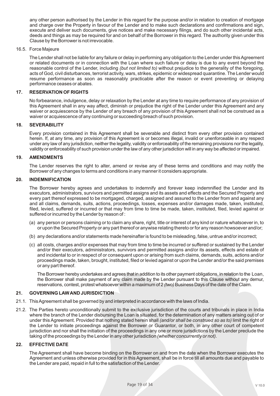any other person authorised by the Lender in this regard for the purpose and/or in relation to creation of mortgage and charge over the Property in favour of the Lender and to make such declarations and confirmations and sign, execute and deliver such documents, give notices and make necessary filings, and do such other incidental acts, deeds and things as may be required for and on behalf of the Borrower in this regard. The authority given under this Clause by the Borrower is not irrevocable.

#### 16.5. Force Majeure

The Lender shall not be liable for any failure or delay in performing any obligation to the Lender under this Agreement or related documents or in connection with the Loan where such failure or delay is due to any event beyond the reasonable control of the Lender, including *(but not limited to)* without prejudice to the generality of the foregoing, acts of God, civil disturbances, terrorist activity, wars, strikes, epidemic or widespread quarantine. The Lender would resume performance as soon as reasonably practicable after the reason or event preventing or delaying performance ceases or abates.

#### **17. RESERVATION OF RIGHTS**

No forbearance, indulgence, delay or relaxation by the Lender at any time to require performance of any provision of this Agreement shall in any way affect, diminish or prejudice the right of the Lender under this Agreement and any waiver or acquiescence by the Lender of any breach of any provision of this Agreement shall not be construed as a waiver or acquiescence of any continuing or succeeding breach of such provision.

#### **18. SEVERABILITY**

Every provision contained in this Agreement shall be severable and distinct from every other provision contained herein. If, at any time, any provision of this Agreement is or becomes illegal, invalid or unenforceable in any respect under any law of any jurisdiction, neither the legality, validity or enforceability of the remaining provisions nor the legality, validity or enforceability of such provision under the law of any other jurisdiction will in any way be affected or impaired.

#### **19. AMENDMENTS**

The Lender reserves the right to alter, amend or revise any of these terms and conditions and may notify the Borrower of any changes to terms and conditions in any manner it considers appropriate.

#### **20. INDEMNIFICATION**

The Borrower hereby agrees and undertakes to indemnify and forever keep indemnified the Lender and its executors, administrators, survivors and permitted assigns and its assets and effects and the Secured Property and every part thereof expressed to be mortgaged, charged, assigned and assured to the Lender from and against any and all claims, demands, suits, actions, proceedings, losses, expenses and/or damages made, taken, instituted, filed, levied, suffered or incurred or that may from time to time be made, taken, instituted, filed, levied against or suffered or incurred by the Lender by reason of :

- (a) any person or persons claiming or to claim any share, right, title or interest of any kind or nature whatsoever in, to or upon the Secured Property or any part thereof or anywise relating thereto or for any reason howsoever and/or;
- (b) any declarations and/or statements made hereinafter is found to be misleading, false, untrue and/or incorrect;
- (c) all costs, charges and/or expenses that may from time to time be incurred or suffered or sustained by the Lender and/or their executors, administrators, survivors and permitted assigns and/or its assets, effects and estate of and incidental to or in respect of or consequent upon or arising from such claims, demands, suits, actions and/or proceedings made, taken, brought, instituted, filed or levied against or upon the Lender and/or the said premises or any part thereof.

The Borrower hereby undertakes and agrees that in addition to its other payment obligations, in relation to the Loan, the Borrower shall make payment of any claim made by the Lender pursuant to this Clause without any demur, reservations, contest, protest whatsoever within a maximum of 2*(two)*Business Days of the date of the Claim.

#### **21. GOVERNING LAW AND JURISDICTION**

- 21.1. This Agreement shall be governed by and interpreted in accordance with the laws of India.
- 21.2. The Parties hereto unconditionally submit to the exclusive jurisdiction of the courts and tribunals in place in India where the branch of the Lender disbursing the Loan is situated, for the determination of any matters arising out of or under this Agreement. Provided that nothing stated herein shall *(and/or shall be construed so as to)* limit the right of the Lender to initiate proceedings against the Borrower or Guarantor, or both, in any other court of competent jurisdiction and nor shall the initiation of the proceedings in any one or more jurisdictions by the Lender preclude the taking of the proceedings by the Lender in any other jurisdiction*(whether concurrently or not)*.

#### **22. EFFECTIVE DATE**

The Agreement shall have become binding on the Borrower on and from the date when the Borrower executes the Agreement and unless otherwise provided for in this Agreement, shall be in force till all amounts due and payable to the Lender are paid, repaid in full to the satisfaction of the Lender.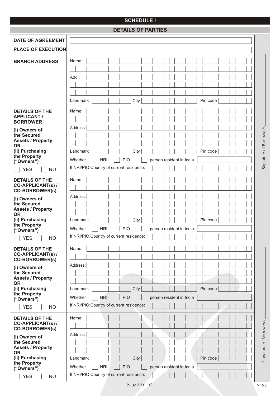## **SCHEDULE I**

# **DETAILS OF PARTIES**

| <b>DATE OF AGREEMENT</b>                                       |                                                                                     |
|----------------------------------------------------------------|-------------------------------------------------------------------------------------|
| <b>PLACE OF EXECUTION</b>                                      |                                                                                     |
| <b>BRANCH ADDRESS</b>                                          | Name:                                                                               |
|                                                                |                                                                                     |
|                                                                | Add:                                                                                |
|                                                                |                                                                                     |
|                                                                |                                                                                     |
|                                                                | Landmark<br>City<br>Pin code                                                        |
| <b>DETAILS OF THE</b><br><b>APPLICANT /</b><br><b>BORROWER</b> | Name:                                                                               |
| (i) Owners of                                                  | Address:                                                                            |
| the Secured<br><b>Assets / Property</b>                        |                                                                                     |
| <b>OR</b>                                                      |                                                                                     |
| (ii) Purchasing<br>the Property                                | Pin code<br>Landmark<br>City                                                        |
| ("Owners")                                                     | Signature of Borrower/s<br><b>NRI</b><br>PIO<br>Whether<br>person resident in India |
| <b>YES</b><br><b>NO</b>                                        | If NRI/PIO: Country of current residence:                                           |
| <b>DETAILS OF THE</b>                                          | Name:                                                                               |
| CO-APPLICANT(s) /<br><b>CO-BORROWER(s)</b>                     |                                                                                     |
| (i) Owners of<br>the Secured                                   | Address:                                                                            |
| <b>Assets / Property</b>                                       |                                                                                     |
| <b>OR</b><br>(ii) Purchasing                                   | City<br>Pin code<br>Landmark                                                        |
| the Property                                                   | <b>NRI</b><br><b>PIO</b><br>Whether                                                 |
| ("Owners")                                                     | person resident in India<br>If NRI/PIO: Country of current residence:               |
| <b>YES</b><br><b>NO</b>                                        |                                                                                     |
| <b>DETAILS OF THE</b><br><b>CO-APPLICANT(s) /</b>              | Name:                                                                               |
| <b>CO-BORROWER(s)</b>                                          | Address:                                                                            |
| (i) Owners of<br>the Secured                                   |                                                                                     |
| <b>Assets / Property</b>                                       |                                                                                     |
| <b>OR</b><br>(ii) Purchasing                                   | City<br>Pin code<br>Landmark                                                        |
| the Property<br>("Owners")                                     | <b>NRI</b><br><b>PIO</b><br>person resident in India<br>Whether                     |
| <b>YES</b><br><b>NO</b>                                        | If NRI/PIO: Country of current residence:                                           |
| <b>DETAILS OF THE</b>                                          | Name:                                                                               |
| <b>CO-APPLICANT(s) /</b><br><b>CO-BORROWER(s)</b>              |                                                                                     |
| (i) Owners of                                                  | Signature of Borrower/s<br>Address:                                                 |
| the Secured                                                    |                                                                                     |
| <b>Assets / Property</b><br><b>OR</b>                          |                                                                                     |
| (ii) Purchasing<br>the Property                                | Landmark<br>City<br>Pin code                                                        |
| ("Owners")                                                     | <b>NRI</b><br><b>PIO</b><br>Whether<br>person resident in India                     |
| <b>YES</b><br><b>NO</b>                                        | If NRI/PIO: Country of current residence:                                           |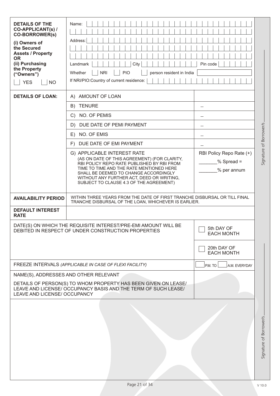| <b>DETAILS OF THE</b><br>CO-APPLICANT(s) /<br><b>CO-BORROWER(s)</b><br>(i) Owners of<br>the Secured<br><b>Assets / Property</b><br><b>OR</b><br>(ii) Purchasing<br>the Property<br>("Owners")<br><b>YES</b><br><b>NO</b> | Name:<br>Address:<br>Landmark<br>City<br><b>NRI</b><br>PIO<br>Whether<br>person resident in India<br>If NRI/PIO: Country of current residence:                                                                                                                                                                                                                                               | Pin code                         |  |  |  |
|--------------------------------------------------------------------------------------------------------------------------------------------------------------------------------------------------------------------------|----------------------------------------------------------------------------------------------------------------------------------------------------------------------------------------------------------------------------------------------------------------------------------------------------------------------------------------------------------------------------------------------|----------------------------------|--|--|--|
| <b>DETAILS OF LOAN:</b>                                                                                                                                                                                                  | AMOUNT OF LOAN<br>(A)                                                                                                                                                                                                                                                                                                                                                                        |                                  |  |  |  |
|                                                                                                                                                                                                                          | <b>TENURE</b><br>B)                                                                                                                                                                                                                                                                                                                                                                          |                                  |  |  |  |
|                                                                                                                                                                                                                          | NO. OF PEMIS<br>$\mathcal{C}$                                                                                                                                                                                                                                                                                                                                                                |                                  |  |  |  |
|                                                                                                                                                                                                                          | DUE DATE OF PEMI PAYMENT<br>D)                                                                                                                                                                                                                                                                                                                                                               |                                  |  |  |  |
|                                                                                                                                                                                                                          | NO. OF EMIS<br>E)                                                                                                                                                                                                                                                                                                                                                                            |                                  |  |  |  |
|                                                                                                                                                                                                                          | DUE DATE OF EMI PAYMENT<br>F)                                                                                                                                                                                                                                                                                                                                                                |                                  |  |  |  |
|                                                                                                                                                                                                                          | Signature of Borrower/s<br>G) APPLICABLE INTEREST RATE<br>RBI Policy Repo Rate (+)<br>(AS ON DATE OF THIS AGREEMENT) (FOR CLARITY,<br>$%$ Spread =<br>RBI POLICY REPO RATE PUBLISHED BY RBI FROM<br>TIME TO TIME AND THE RATE MENTIONED HERE<br>% per annum<br>SHALL BE DEEMED TO CHANGE ACCORDINGLY<br>WITHOUT ANY FURTHER ACT, DEED OR WRITING,<br>SUBJECT TO CLAUSE 4.3 OF THE AGREEMENT) |                                  |  |  |  |
| <b>AVAILABILITY PERIOD</b>                                                                                                                                                                                               | WITHIN THREE YEARS FROM THE DATE OF FIRST TRANCHE DISBURSAL OR TILL FINAL<br>TRANCHE DISBURSAL OF THE LOAN, WHICHEVER IS EARLIER.                                                                                                                                                                                                                                                            |                                  |  |  |  |
| <b>DEFAULT INTEREST</b><br><b>RATE</b>                                                                                                                                                                                   |                                                                                                                                                                                                                                                                                                                                                                                              |                                  |  |  |  |
|                                                                                                                                                                                                                          | DATE(S) ON WHICH THE REQUISITE INTEREST/PRE-EMI AMOUNT WILL BE<br>DEBITED IN RESPECT OF UNDER CONSTRUCTION PROPERTIES                                                                                                                                                                                                                                                                        | 5th DAY OF<br><b>EACH MONTH</b>  |  |  |  |
|                                                                                                                                                                                                                          |                                                                                                                                                                                                                                                                                                                                                                                              | 20th DAY OF<br><b>EACH MONTH</b> |  |  |  |
|                                                                                                                                                                                                                          | FREEZE INTERVALS (APPLICABLE IN CASE OF FLEXI FACILITY)                                                                                                                                                                                                                                                                                                                                      | P.M. TO<br>A.M. EVERYDAY         |  |  |  |
| NAME(S), ADDRESSES AND OTHER RELEVANT                                                                                                                                                                                    |                                                                                                                                                                                                                                                                                                                                                                                              |                                  |  |  |  |
| LEAVE AND LICENSE/ OCCUPANCY                                                                                                                                                                                             | DETAILS OF PERSON(S) TO WHOM PROPERTY HAS BEEN GIVEN ON LEASE/<br>LEAVE AND LICENSE/ OCCUPANCY BASIS AND THE TERM OF SUCH LEASE/                                                                                                                                                                                                                                                             |                                  |  |  |  |
|                                                                                                                                                                                                                          |                                                                                                                                                                                                                                                                                                                                                                                              | Signature of Borrower/s          |  |  |  |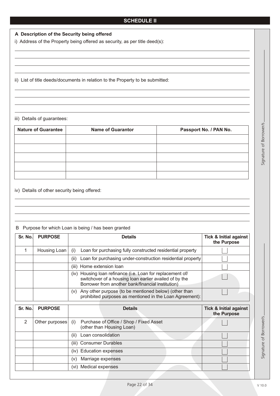# **SCHEDULE II**

#### **A Description of the Security being offered**

i) Address of the Property being offered as security, as per title deed(s):

ii) List of title deeds/documents in relation to the Property to be submitted:

iii) Details of guarantees:

| <b>Nature of Guarantee</b> | <b>Name of Guarantor</b> | Passport No. / PAN No. |
|----------------------------|--------------------------|------------------------|
|                            |                          |                        |
|                            |                          |                        |
|                            |                          |                        |
|                            |                          |                        |
|                            |                          |                        |

iv) Details of other security being offered:

#### B Purpose for which Loan is being / has been granted

| Sr. No. | <b>PURPOSE</b> | <b>Details</b>                                                                                                                                                            | <b>Tick &amp; Initial against</b><br>the Purpose |
|---------|----------------|---------------------------------------------------------------------------------------------------------------------------------------------------------------------------|--------------------------------------------------|
|         | Housing Loan   | Loan for purchasing fully constructed residential property<br>(i)                                                                                                         |                                                  |
|         |                | Loan for purchasing under-construction residential property<br>(ii)                                                                                                       |                                                  |
|         |                | (iii) Home extension loan                                                                                                                                                 |                                                  |
|         |                | (iv) Housing loan refinance (i.e. Loan for replacement of/<br>switchover of a housing loan earlier availed of by the<br>Borrower from another bank/financial institution) |                                                  |
|         |                | Any other purpose (to be mentioned below) (other than<br>(v)<br>prohibited purposes as mentioned in the Loan Agreement):                                                  |                                                  |
|         |                |                                                                                                                                                                           |                                                  |

| Sr. No. | <b>PURPOSE</b> | <b>Details</b>                                                              | <b>Tick &amp; Initial against</b><br>the Purpose |
|---------|----------------|-----------------------------------------------------------------------------|--------------------------------------------------|
| 2       | Other purposes | Purchase of Office / Shop / Fixed Asset<br>(i)<br>(other than Housing Loan) |                                                  |
|         |                | Loan consolidation<br>(ii)                                                  |                                                  |
|         |                | (iii) Consumer Durables                                                     |                                                  |
|         |                | (iv) Education expenses                                                     |                                                  |
|         |                | Marriage expenses<br>(v)                                                    |                                                  |
|         |                | (vi) Medical expenses                                                       |                                                  |
|         |                |                                                                             |                                                  |

Signature of Borrower/s Signature of Borrower/s Signature of Borrower/s

Signature of Borrower/s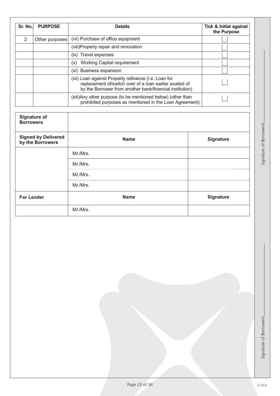| Sr. No. | <b>PURPOSE</b> | <b>Details</b>                                                                                                                                                              | <b>Tick &amp; Initial against</b><br>the Purpose |  |  |
|---------|----------------|-----------------------------------------------------------------------------------------------------------------------------------------------------------------------------|--------------------------------------------------|--|--|
| 2       | Other purposes | (vii) Purchase of office equipment                                                                                                                                          |                                                  |  |  |
|         |                | (viii)Property repair and renovation                                                                                                                                        |                                                  |  |  |
|         |                | (ix) Travel expenses                                                                                                                                                        |                                                  |  |  |
|         |                | <b>Working Capital requirement</b><br>(x)                                                                                                                                   |                                                  |  |  |
|         |                | (xi) Business expansion                                                                                                                                                     |                                                  |  |  |
|         |                | (xii) Loan against Property refinance (i.e. Loan for<br>replacement of/switch over of a loan earlier availed of<br>by the Borrower from another bank/financial institution) |                                                  |  |  |
|         |                | (xiii)Any other purpose (to be mentioned below) (other than<br>prohibited purposes as mentioned in the Loan Agreement):                                                     |                                                  |  |  |

| <b>Signature of</b><br><b>Borrowers</b>        |             |                  |
|------------------------------------------------|-------------|------------------|
| <b>Signed by Delivered</b><br>by the Borrowers | <b>Name</b> | <b>Signature</b> |
|                                                | Mr./Mrs.    |                  |
|                                                | Mr./Mrs.    |                  |
|                                                | Mr./Mrs.    |                  |
|                                                | Mr./Mrs.    |                  |
| <b>For Lender</b>                              | <b>Name</b> | <b>Signature</b> |
|                                                | Mr./Mrs.    |                  |

Signature of Borrower/s

Signature of Borrower/s Signature of Borrower/s Signature of Borrower/s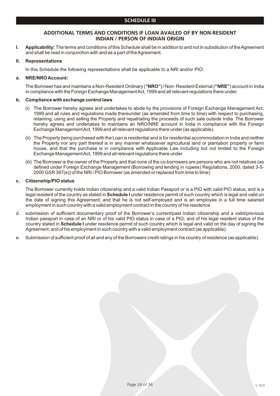#### **SCHEDULE III**

#### **ADDITIONAL TERMS AND CONDITIONS IF LOAN AVAILED OF BY NON-RESIDENT INDIAN / PERSON OF INDIAN ORIGIN**

**I. Applicability:** The terms and conditions of this Schedule shall be in addition to and not in substitution of the Agreement and shall be read in conjunction with and as a part of the Agreement.

#### **II. Representations**

In this Schedule the following representations shall be applicable to a NRI and/or PIO:

#### **a. NRE/NRO Account:**

The Borrower has and maintains a Non-Resident Ordinary (**"NRO"**) / Non- Resident External (**"NRE"**) account in India in compliance with the Foreign Exchange Management Act, 1999 and all relevant regulations there under.

#### **b. Compliance with exchange control laws**

- (i) The Borrower hereby agrees and undertakes to abide by the provisions of Foreign Exchange Management Act, 1999 and all rules and regulations made thereunder (as amended from time to time) with respect to purchasing, retaining, using and selling the Property and repatriating the proceeds of such sale outside India. The Borrower hereby agrees and undertakes to maintains an NRO/NRE account in India in compliance with the Foreign Exchange Management Act, 1999 and all relevant regulations there under (as applicable).
- (ii) The Property being purchased with the Loan is residential and is for residential accommodation in India and neither the Property nor any part thereof is in any manner whatsoever agricultural land or plantation property or farm house, and that the purchase is in compliance with Applicable Law including but not limited to the Foreign Exchange Management Act, 1999 and all relevant regulations there under.
- (iii) The Borrower is the owner of the Property and that none of the co-borrowers are persons who are not relatives (as defined under Foreign Exchange Management (Borrowing and lending in rupees) Regulations, 2000, dated 3-5- 2000 GSR 387(e)) of the NRI / PIO Borrower (as amended or replaced from time to time).

#### **c. Citizenship/PIO status**

The Borrower currently holds Indian citizenship and a valid Indian Passport or is a PIO with valid PIO status; and is a legal resident of the country as stated in **Schedule I** under residence permit of such country which is legal and valid on the date of signing this Agreement; and that he is not self-employed and is an employee in a full time salaried employment in such country with a valid employment contract in the country of his residence.

- d. submission of sufficient documentary proof of the Borrower's current/past Indian citizenship and a valid/previous Indian passport in case of an NRI or of his valid PIO status in case of a PIO; and of his legal resident status of the country stated in **Schedule I** under residence permit of such country which is legal and valid on the day of signing the Agreement; and of his employment in such country with a valid employment contract (as applicable).
- e. Submission of sufficient proof of all and any of the Borrowers credit ratings in his country of residence (as applicable).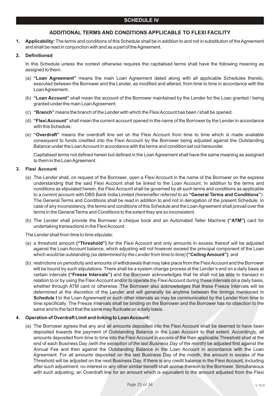#### **ADDITIONAL TERMS AND CONDITIONS APPLICABLE TO FLEXI FACILITY**

**1. Applicability:** The terms and conditions of this Schedule shall be in addition to and not in substitution of the Agreement and shall be read in conjunction with and as a part of the Agreement.

#### **2. Definitionsd**

In this Schedule unless the context otherwise requires the capitalised terms shall have the following meaning as assigned to them:

- (a) **"Loan Agreement"** means the main Loan Agreement dated along with all applicable Schedules thereto, executed between the Borrower and the Lender, as modified and altered, from time to time in accordance with the Loan Agreement.
- (b) **"Loan Account"** shall mean the account of the Borrower maintained by the Lender for the Loan granted / being granted under the main Loan Agreement.
- (c) **"Branch"** means the branch of the Lender with which the Flexi Account has been / shall be opened.
- (d) **"Flexi Account"** shall mean the current account opened in the name of the Borrower by the Lender in accordance with this Schedule.
- (e) **"Overdraft"** means the overdraft line set on the Flexi Account from time to time which is made available consequent to funds credited into the Flexi Account by the Borrower being adjusted against the Outstanding Balance under the Loan Account in accordance with the terms and condition set out hereunder.

Capitalised terms not defined herein but defined in the Loan Agreement shall have the same meaning as assigned to them in the Loan Agreement.

#### **3. Flexi Account**

- (a) The Lender shall, on request of the Borrower, open a Flexi Account in the name of the Borrower on the express understanding that the said Flexi Account shall be linked to the Loan Account. In addition to the terms and conditions as stipulated herein, the Flexi Account shall be governed by all such terms and conditions as applicable to a current account with DBS Bank India Limited *(hereinafter referred to as* **"General Terms and Conditions"***)*. The General Terms and Conditions shall be read in addition to and not in derogation of the present Schedule. In case of any inconsistency, the terms and conditions of this Schedule and the Loan Agreement shall prevail over the terms in the General Terms and Conditions to the extent they are so inconsistent.
- (b) The Lender shall provide the Borrower a cheque book and an Automated Teller Machine **("ATM")** card for undertaking transactions in the Flexi Account.

The Lender shall from time to time stipulate:

- (a) a threshold amount **("Threshold")** for the Flexi Account and only amounts in excess thereof will be adjusted against the Loan Account balance, which adjusting will not however exceed the principal component of the Loan which would be outstanding *(as determined by the Lender from time to time)* **("Ceiling Amount")**; and
- (b) restrictions on periodicity and amounts of withdrawals that may take place from the Flexi Account and the Borrower will be bound by such stipulations. There shall be a system change process at the Lender's end on a daily basis at certain intervals **("Freeze Intervals")** and the Borrower acknowledges that he shall not be able to transact in relation to or by using the Flexi Account and/or to operate the Flexi Account during these intervals on a daily basis, whether through ATM card or otherwise. The Borrower also acknowledges that these Freeze Intervals will be determined at the discretion of the Lender and will generally be anytime between the timings mentioned in **Schedule I** to the Loan Agreement or such other intervals as may be communicated by the Lender from time to time specifically. The Freeze Intervals shall be binding on the Borrower and the Borrower has no objection to the same and to the fact that the same may fluctuate on a daily basis.

#### **4. Operation of Overdraft Limit and linking to Loan Account:**

(a) The Borrower agrees that any and all amounts deposited into the Flexi Account shall be deemed to have been deposited towards the payment of Outstanding Balance in the Loan Account to that extent. Accordingly, all amounts deposited from time to time into the Flexi Account in excess of the then applicable Threshold shall at the end of each Business Day *(with the exception of the last Business Day of the month)* be adjusted first against the Annual Fee and then against the Outstanding Balance in the Loan Account in accordance with the Loan Agreement. For all amounts deposited on the last Business Day of the month, the amount in excess of the Threshold will be adjusted on the next Business Day. If there is any credit balance in the Flexi Account, including after such adjustment, no interest or any other similar benefit shall accrue thereon to the Borrower. Simultaneous with such adjusting, an Overdraft line for an amount which is equivalent to the amount adjusted from the Flexi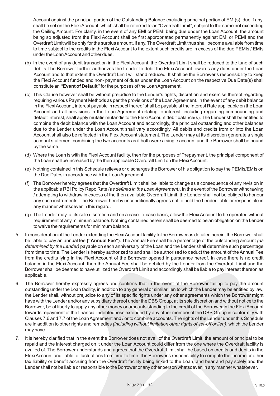Account against the principal portion of the Outstanding Balance excluding principal portion of EMI(s), due if any, shall be set on the Flexi Account, which shall be referred to as "Overdraft Limit", subject to the same not exceeding the Ceiling Amount. For clarity, in the event of any EMI or PEMI being due under the Loan Account, the amount being so adjusted from the Flexi Account shall be first appropriated permanently against EMI or PEMI and the Overdraft Limit will be only for the surplus amount, if any. The Overdraft Limit thus shall become available from time to time subject to the credits in the Flexi Account to the extent such credits are in excess of the due PEMIs / EMIs under the Loan Account and other dues.

- (b) In the event of any debit transaction in the Flexi Account, the Overdraft Limit shall be reduced to the tune of such debits.The Borrower further authorizes the Lender to debit the Flexi Account towards any dues under the Loan Account and to that extent the Overdraft Limit will stand reduced. It shall be the Borrower's responsibility to keep the Flexi Account funded and non- payment of dues under the Loan Account on the respective Due Date(s) shall constitute an **"Event of Default"** for the purposes of the Loan Agreement.
- (c) This Clause however shall be without prejudice to the Lender's rights, discretion and exercise thereof regarding requiring various Payment Methods as per the provisions of the Loan Agreement. In the event of any debit balance in the Flexi Account, interest payable in respect thereof shall be payable at the Interest Rate applicable on the Loan Account and all provisions in the Loan Agreement relating to interest, including regarding compounding and default interest, shall apply mutatis mutandis to the Flexi Account debit balance(s). The Lender shall be entitled to combine the debit balance with the Loan Account and accordingly, the principal outstanding and other balances due to the Lender under the Loan Account shall vary accordingly. All debits and credits from or into the Loan Account shall also be reflected in the Flexi Account statement. The Lender may at its discretion generate a single account statement combining the two accounts as if both were a single account and the Borrower shall be bound by the same.
- (d) Where the Loan is with the Flexi Account facility, then for the purposes of Prepayment, the principal component of the Loan shall be increased by the then applicable Overdraft Limit on the Flexi Account.
- (e) Nothing contained in this Schedule relieves or discharges the Borrower of his obligation to pay the PEMIs/EMIs on the Due Dates in accordance with the Loan Agreement.
- (f) The Borrower hereby agrees that the Overdraft Limit shall be liable to change as a consequence of any revision in the applicable RBI Policy Repo Rate *(as defined in the Loan Agreement)*. In the event of the Borrower withdrawing / attempting to withdraw in excess of the then available Overdraft Limit, the Lender shall not be obliged to honour any such instruments. The Borrower hereby unconditionally agrees not to hold the Lender liable or responsible in any manner whatsoever in this regard.
- (g) The Lender may, at its sole discretion and on a case-to-case basis, allow the Flexi Account to be operated without requirement of any minimum balance. Nothing contained herein shall be deemed to be an obligation on the Lender to waive the requirements for minimum balance.
- 5. In consideration of the Lender extending the Flexi Account facility to the Borrower as detailed herein, the Borrower shall be liable to pay an annual fee **("Annual Fee")**. The Annual Fee shall be a percentage of the outstanding amount *(as determined by the Lender)* payable on each anniversary of the Loan and the Lender shall determine such percentage from time to time. The Lender is hereby authorized to and shall be authorised to deduct the amount of the Annual Fee from the credits lying in the Flexi Account of the Borrower opened in pursuance hereof. In case there is no credit balance in the Flexi Account, then the Annual Fee shall be debited by the Lender from the Overdraft Limit and the Borrower shall be deemed to have utilized the Overdraft Limit and accordingly shall be liable to pay interest thereon as applicable.
- 6. The Borrower hereby expressly agrees and confirms that in the event of the Borrower failing to pay the amount outstanding under the Loan facility, in addition to any general or similar lien to which the Lender may be entitled by law, the Lender shall, without prejudice to any of its specific rights under any other agreements which the Borrower might have with the Lender and/or any subsidiary thereof under the DBS Group, at its sole discretion and without notice to the Borrower, be at liberty to apply any other money or amounts standing to the credit of the Borrower in the Flexi Account towards repayment of the financial indebtedness extended by any other member of the DBS Group in conformity with Clauses 7.6 and 7.7 of the Loan Agreement and / or to combine accounts. The rights of the Lender under this Schedule are in addition to other rights and remedies *(including without limitation other rights of set-off or lien)*, which the Lender may have.
- 7. It is hereby clarified that in the event the Borrower does not avail of the Overdraft Limit, the amount of principal to be repaid and the interest charged on it under the Loan Account could differ from the one where the Overdraft facility is availed of. The Borrower understands and agrees that the Overdraft Limit shall be based on credits and debits in the Flexi Account and liable to fluctuations from time to time. It is Borrower's responsibility to compute the income or other tax liability or benefit accruing from the Overdraft facility being linked to the Loan, and bear and pay solely and the Lender shall not be liable or responsible to the Borrower or any other person whatsoever, in any manner whatsoever.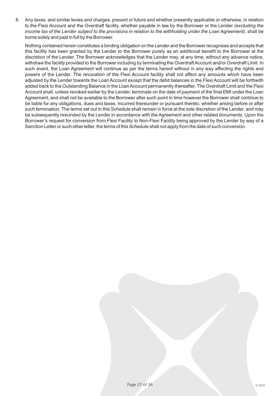8. Any taxes, and similar levies and charges, present or future and whether presently applicable or otherwise, in relation to the Flexi Account and the Overdraft facility, whether payable in law by the Borrower or the Lender *(excluding the income tax of the Lender subject to the provisions in relation to the withholding under the Loan Agreement)*, shall be borne solely and paid in full by the Borrower.

Nothing contained herein constitutes a binding obligation on the Lender and the Borrower recognises and accepts that this facility has been granted by the Lender to the Borrower purely as an additional benefit to the Borrower at the discretion of the Lender. The Borrower acknowledges that the Lender may, at any time, without any advance notice, withdraw the facility provided to the Borrower including by terminating the Overdraft Account and/or Overdraft Limit. In such event, the Loan Agreement will continue as per the terms hereof without in any way affecting the rights and powers of the Lender. The revocation of the Flexi Account facility shall not affect any amounts which have been adjusted by the Lender towards the Loan Account except that the debit balances in the Flexi Account will be forthwith added back to the Outstanding Balance in the Loan Account permanently thereafter. The Overdraft Limit and the Flexi Account shall, unless revoked earlier by the Lender, terminate on the date of payment of the final EMI under the Loan Agreement, and shall not be available to the Borrower after such point in time however the Borrower shall continue to be liable for any obligations, dues and taxes, incurred thereunder or pursuant thereto, whether arising before or after such termination. The terms set out in this Schedule shall remain in force at the sole discretion of the Lender, and may be subsequently rescinded by the Lender in accordance with the Agreement and other related documents. Upon the Borrower's request for conversion from Flexi Facility to Non-Flexi Facility being approved by the Lender by way of a Sanction Letter or such other letter, the terms of this Schedule shall not apply from the date of such conversion.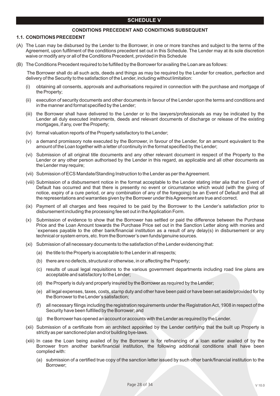#### **SCHEDULE V**

#### **CONDITIONS PRECEDENT AND CONDITIONS SUBSEQUENT**

#### **1.1. CONDITIONS PRECEDENT**

- (A) The Loan may be disbursed by the Lender to the Borrower, in one or more tranches and subject to the terms of the Agreement, upon fulfilment of the conditions precedent set out in this Schedule. The Lender may at its sole discretion waive or modify any or all of the Conditions Precedent, provided in this Schedule
- (B) The Conditions Precedent required to be fulfilled by the Borrower for availing the Loan are as follows:

The Borrower shall do all such acts, deeds and things as may be required by the Lender for creation, perfection and delivery of the Security to the satisfaction of the Lender, including without limitation:

- (i) obtaining all consents, approvals and authorisations required in connection with the purchase and mortgage of the Property;
- (ii) execution of security documents and other documents in favour of the Lender upon the terms and conditions and in the manner and format specified by the Lender;
- (iii) the Borrower shall have delivered to the Lender or to the lawyers/professionals as may be indicated by the Lender all duly executed instruments, deeds and relevant documents of discharge or release of the existing mortgages, if any, over the Property;
- (iv) formal valuation reports of the Property satisfactory to the Lender;
- (v) a demand promissory note executed by the Borrower, in favour of the Lender, for an amount equivalent to the amount of the Loan together with a letter of continuity in the format specified by the Lender;
- (vi) Submission of all original title documents and any other relevant document in respect of the Property to the Lender or any other person authorised by the Lender in this regard, as applicable and all other documents as the Lender may require;
- (vii) Submission of ECS Mandate/Standing Instruction to the Lender as per the Agreement.
- (viii) Submission of a disbursement notice in the format acceptable to the Lender stating inter alia that no Event of Default has occurred and that there is presently no event or circumstance which would (with the giving of notice, expiry of a cure period, or any combination of any of the foregoing) be an Event of Default and that all the representations and warranties given by the Borrower under this Agreement are true and correct.
- (ix) Payment of all charges and fees required to be paid by the Borrower to the Lender's satisfaction prior to disbursement including the processing fee set out in the Application Form.
- (x) Submission of evidence to show that the Borrower has settled or paid the difference between the Purchase Price and the Loan Amount towards the Purchase Price set out in the Sanction Letter along with monies and `expenses payable to the other bank/financial institution as a result of any delay(s) in disbursement or any technical or system errors, etc. from the Borrower's own funds/genuine sources.
- (xi) Submission of all necessary documents to the satisfaction of the Lender evidencing that:
	- (a) the title to the Property is acceptable to the Lender in all respects;
	- (b) there are no defects, structural or otherwise, in or affecting the Property;
	- (c) results of usual legal requisitions to the various government departments including road line plans are acceptable and satisfactory to the Lender;
	- (d) the Property is duly and properly insured by the Borrower as required by the Lender;
	- (e) all legal expenses, taxes, costs, stamp duty and other have been paid or have been set aside/provided for by the Borrower to the Lender's satisfaction;
	- (f) all necessary filings including the registration requirements under the Registration Act, 1908 in respect of the Security have been fulfilled by the Borrower; and
	- (g) the Borrower has opened an account or accounts with the Lender as required by the Lender.
- (xii) Submission of a certificate from an architect appointed by the Lender certifying that the built up Property is strictly as per sanctioned plan and/or building bye-laws.
- (xiii) In case the Loan being availed of by the Borrower is for refinancing of a loan earlier availed of by the Borrower from another bank/financial institution, the following additional conditions shall have been complied with:
	- (a) submission of a certified true copy of the sanction letter issued by such other bank/financial institution to the Borrower;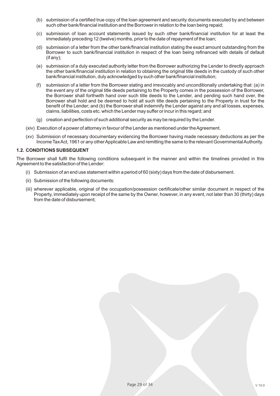- (b) submission of a certified true copy of the loan agreement and security documents executed by and between such other bank/financial institution and the Borrower in relation to the loan being repaid;
- (c) submission of loan account statements issued by such other bank/financial institution for at least the immediately preceding 12 (twelve) months, prior to the date of repayment of the loan;
- (d) submission of a letter from the other bank/financial institution stating the exact amount outstanding from the Borrower to such bank/financial institution in respect of the loan being refinanced with details of default (if any);
- (e) submission of a duly executed authority letter from the Borrower authorizing the Lender to directly approach the other bank/financial institution in relation to obtaining the original title deeds in the custody of such other bank/financial institution, duly acknowledged by such other bank/financial institution;
- (f) submission of a letter from the Borrower stating and irrevocably and unconditionally undertaking that: (a) in the event any of the original title deeds pertaining to the Property comes in the possession of the Borrower, the Borrower shall forthwith hand over such title deeds to the Lender, and pending such hand over, the Borrower shall hold and be deemed to hold all such title deeds pertaining to the Property in trust for the benefit of the Lender; and (b) the Borrower shall indemnify the Lender against any and all losses, expenses, claims, liabilities, costs etc. which the Lender may suffer or incur in this regard; and
- (g) creation and perfection of such additional security as may be required by the Lender.
- (xiv) Execution of a power of attorney in favour of the Lender as mentioned under the Agreement.
- (xv) Submission of necessary documentary evidencing the Borrower having made necessary deductions as per the Income Tax Act, 1961 or any other Applicable Law and remitting the same to the relevant Governmental Authority.

#### **1.2. CONDITIONS SUBSEQUENT**

The Borrower shall fulfil the following conditions subsequent in the manner and within the timelines provided in this Agreement to the satisfaction of the Lender:

- (i) Submission of an end use statement within a period of 60 (sixty) days from the date of disbursement.
- (ii) Submission of the following documents:
- (iii) wherever applicable, original of the occupation/possession certificate/other similar document in respect of the Property, immediately upon receipt of the same by the Owner, however, in any event, not later than 30 (thirty) days from the date of disbursement;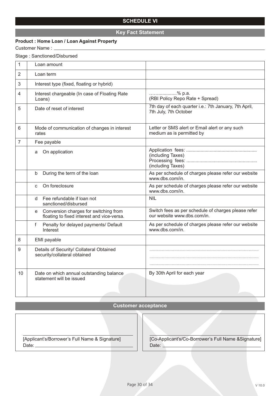# **SCHEDULE VI**

# **Key Fact Statement**

#### **Product : Home Loan / Loan Against Property**

Customer Name :

#### Stage : Sanctioned/Disbursed

| 1  | Loan amount                                                                              |                                                                                    |
|----|------------------------------------------------------------------------------------------|------------------------------------------------------------------------------------|
| 2  | Loan term                                                                                |                                                                                    |
| 3  | Interest type (fixed, floating or hybrid)                                                |                                                                                    |
| 4  | Interest chargeable (In case of Floating Rate<br>Loans)                                  | % p.a.<br>(RBI Policy Repo Rate + Spread)                                          |
| 5  | Date of reset of interest                                                                | 7th day of each quarter i.e.: 7th January, 7th April,<br>7th July, 7th October     |
| 6  | Mode of communication of changes in interest<br>rates                                    | Letter or SMS alert or Email alert or any such<br>medium as is permitted by        |
| 7  | Fee payable                                                                              |                                                                                    |
|    | On application<br>a                                                                      | (including Taxes)<br>(including Taxes)                                             |
|    | During the term of the loan<br>b                                                         | As per schedule of charges please refer our website<br>www.dbs.com/in.             |
|    | On foreclosure<br>C.                                                                     | As per schedule of charges please refer our website<br>www.dbs.com/in.             |
|    | Fee refundable if loan not<br><sub>d</sub><br>sanctioned/disbursed                       | <b>NIL</b>                                                                         |
|    | Conversion charges for switching from<br>e<br>floating to fixed interest and vice-versa. | Switch fees as per schedule of charges please refer<br>our website www.dbs.com/in. |
|    | Penalty for delayed payments/ Default<br>f<br>Interest                                   | As per schedule of charges please refer our website<br>www.dbs.com/in.             |
| 8  | EMI payable                                                                              |                                                                                    |
| 9  | Details of Security/ Collateral Obtained<br>security/collateral obtained                 |                                                                                    |
| 10 | Date on which annual outstanding balance<br>statement will be issued                     | By 30th April for each year                                                        |

### **Customer acceptance**

[Applicant's/Borrower's Full Name & Signature] Date: Date:

[Co-Applicant's/Co-Borrower's Full Name &Signature]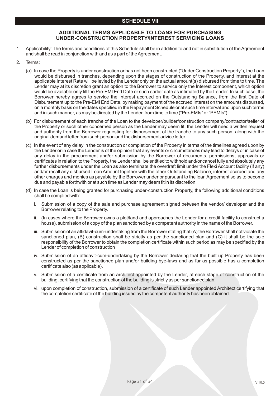#### **ADDITIONAL TERMS APPLICABLE TO LOANS FOR PURCHASING UNDER-CONSTRUCTION PROPERTY/INTEREST SERVICING LOANS**

- 1. Applicability: The terms and conditions of this Schedule shall be in addition to and not in substitution of the Agreement and shall be read in conjunction with and as a part of the Agreement.
- 2. Terms:
	- (a) In case the Property is under construction or has not been constructed ("Under Construction Property"), the Loan would be disbursed in tranches, depending upon the stages of construction of the Property, and interest at the applicable Interest Rate will be levied by the Lender only on the actual amount(s) disbursed from time to time. The Lender may at its discretion grant an option to the Borrower to service only the Interest component, which option would be available only till the Pre-EMI End Date or such earlier date as intimated by the Lender. In such case, the Borrower hereby agrees to service the Interest accrued on the Outstanding Balance, from the first Date of Disbursement up to the Pre-EMI End Date, by making payment of the accrued Interest on the amounts disbursed, on a monthly basis on the dates specified in the Repayment Schedule or at such time interval and upon such terms and in such manner, as may be directed by the Lender, from time to time ("Pre-EMIs" or "PEMIs").
	- (b) For disbursement of each tranche of the Loan to the developer/builder/construction company/contractor/seller of the Property or such other concerned person as the Lender may deem fit, the Lender will need a written request and authority from the Borrower requesting for disbursement of the tranche to any such person, along with the original demand letter from such person and the disbursement advice letter.
	- (c) In the event of any delay in the construction or completion of the Property in terms of the timelines agreed upon by the Lender or in case the Lender is of the opinion that any events or circumstances may lead to delays or in case of any delay in the procurement and/or submission by the Borrower of documents, permissions, approvals or certificates in relation to the Property, the Lender shall be entitled to withhold and/or cancel fully and absolutely any further disbursements under the Loan as also terminate the overdraft limit under the Flexi Account facility (if any) and/or recall any disbursed Loan Amount together with the other Outstanding Balance, interest accrued and any other charges and monies as payable by the Borrower under or pursuant to the loan Agreement so as to become due and payable forthwith or at such time as Lender may deem fit in its discretion.
	- (d) In case the Loan is being granted for purchasing under-construction Property, the following additional conditions shall be complied with:
		- i. Submission of a copy of the sale and purchase agreement signed between the vendor/ developer and the Borrower relating to the Property.
		- ii. (In cases where the Borrower owns a plot/land and approaches the Lender for a credit facility to construct a house), submission of a copy of the plan sanctioned by a competent authority in the name of the Borrower.
		- iii. Submission of an affidavit-cum-undertaking from the Borrower stating that (A) the Borrower shall not violate the sanctioned plan, (B) construction shall be strictly as per the sanctioned plan and (C) it shall be the sole responsibility of the Borrower to obtain the completion certificate within such period as may be specified by the Lender of completion of construction
		- iv. Submission of an affidavit-cum-undertaking by the Borrower declaring that the built up Property has been constructed as per the sanctioned plan and/or building bye-laws and as far as possible has a completion certificate also (as applicable).
		- v. Submission of a certificate from an architect appointed by the Lender, at each stage of construction of the building, certifying that the construction of the building is strictly as per sanctioned plan.
		- vi. upon completion of construction, submission of a certificate of such Lender appointed Architect certifying that the completion certificate of the building issued by the competent authority has been obtained.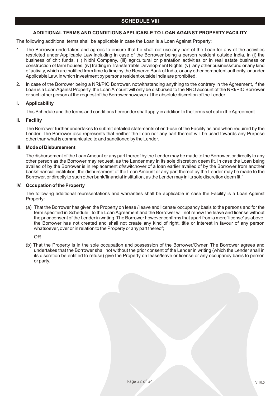#### **ADDITIONAL TERMS AND CONDITIONS APPLICABLE TO LOAN AGAINST PROPERTY FACILITY**

The following additional terms shall be applicable in case the Loan is a Loan Against Property:

- 1. The Borrower undertakes and agrees to ensure that he shall not use any part of the Loan for any of the activities restricted under Applicable Law including in case of the Borrower being a person resident outside India, in (i) the business of chit funds, (ii) Nidhi Company, (iii) agricultural or plantation activities or in real estate business or construction of farm houses, (iv) trading in Transferrable Development Rights, (v) any other business/fund or any kind of activity, which are notified from time to time by the Reserve Bank of India, or any other competent authority, or under Applicable Law, in which investment by persons resident outside India are prohibited .
- 2. In case of the Borrower being a NRI/PIO Borrower, notwithstanding anything to the contrary in the Agreement, if the Loan is a Loan Against Property, the Loan Amount will only be disbursed to the NRO account of the NRI/PIO Borrower or such other person at the request of the Borrower however at the absolute discretion of the Lender.

#### **I. Applicability**

This Schedule and the terms and conditions hereunder shall apply in addition to the terms set out in the Agreement.

#### **II. Facility**

The Borrower further undertakes to submit detailed statements of end-use of the Facility as and when required by the Lender. The Borrower also represents that neither the Loan nor any part thereof will be used towards any Purpose other than what is communicated to and sanctioned by the Lender.

#### **III. Mode of Disbursement**

The disbursement of the Loan Amount or any part thereof by the Lender may be made to the Borrower, or directly to any other person as the Borrower may request, as the Lender may in its sole discretion deem fit. In case the Loan being availed of by the Borrower is in replacement of/switchover of a loan earlier availed of by the Borrower from another bank/financial institution, the disbursement of the Loan Amount or any part thereof by the Lender may be made to the Borrower, or directly to such other bank/financial institution, as the Lender may in its sole discretion deem fit."

#### **IV. Occupation of the Property**

The following additional representations and warranties shall be applicable in case the Facility is a Loan Against Property:

(a) That the Borrower has given the Property on lease / leave and license/ occupancy basis to the persons and for the term specified in Schedule I to the Loan Agreement and the Borrower will not renew the leave and license without the prior consent of the Lender in writing. The Borrower however confirms that apart from a mere 'license'as above, the Borrower has not created and shall not create any kind of right, title or interest in favour of any person whatsoever, over or in relation to the Property or any part thereof;

OR

(b) That the Property is in the sole occupation and possession of the Borrower/Owner. The Borrower agrees and undertakes that the Borrower shall not without the prior consent of the Lender in writing (which the Lender shall in its discretion be entitled to refuse) give the Property on lease/leave or license or any occupancy basis to person or party.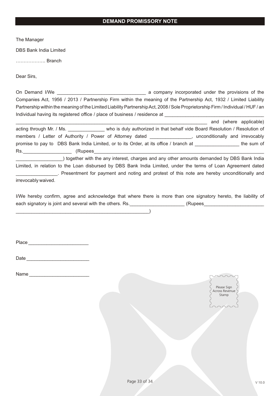#### **DEMAND PROMISSORY NOTE**

The Manager

DBS Bank India Limited

………………. Branch

Dear Sirs,

On Demand I/We \_\_\_\_\_\_\_\_\_\_\_\_\_\_\_\_\_\_\_\_\_\_\_\_\_\_\_\_\_\_\_\_\_\_ a company incorporated under the provisions of the Companies Act, 1956 / 2013 / Partnership Firm within the meaning of the Partnership Act, 1932 / Limited Liability Partnership within the meaning of the Limited Liability Partnership Act, 2008 / Sole Proprietorship Firm / Individual / HUF / an Individual having its registered office / place of business / residence at

|                          |                                                                                      |  |  | and (where applicable)          |
|--------------------------|--------------------------------------------------------------------------------------|--|--|---------------------------------|
| acting through Mr. / Ms. | who is duly authorized in that behalf vide Board Resolution / Resolution of          |  |  |                                 |
|                          | members / Letter of Authority / Power of Attorney dated                              |  |  | unconditionally and irrevocably |
|                          | promise to pay to DBS Bank India Limited, or to its Order, at its office / branch at |  |  | the sum of                      |
| Rs.                      | (Rupees                                                                              |  |  |                                 |

\_\_\_\_\_\_\_\_\_\_\_\_\_\_\_\_\_\_) together with the any interest, charges and any other amounts demanded by DBS Bank India Limited, in relation to the Loan disbursed by DBS Bank India Limited, under the terms of Loan Agreement dated \_\_\_\_\_\_\_\_\_\_\_\_\_\_\_\_. Presentment for payment and noting and protest of this note are hereby unconditionally and irrevocably waived.

I/We hereby confirm, agree and acknowledge that where there is more than one signatory hereto, the liability of each signatory is joint and several with the others. Rs. \_\_\_\_\_\_\_\_\_\_\_\_\_\_\_\_\_\_\_\_\_\_\_\_<br>
(Rupees

Place **and the set of the set of the set of the set of the set of the set of the set of the set of the set of the set of the set of the set of the set of the set of the set of the set of the set of the set of the set of th** 

\_\_\_\_\_\_\_\_\_\_\_\_\_\_\_\_\_\_\_\_\_\_\_\_\_\_\_\_\_\_\_\_\_\_\_\_\_\_\_\_\_\_\_\_\_\_\_\_\_\_\_)

Date \_\_\_\_\_\_\_\_\_\_\_\_\_\_\_\_\_\_\_\_\_\_\_\_

Name \_\_\_\_\_\_\_\_\_\_\_\_\_\_\_\_\_\_\_\_\_\_\_

Please Sign Across Revenue Stamp